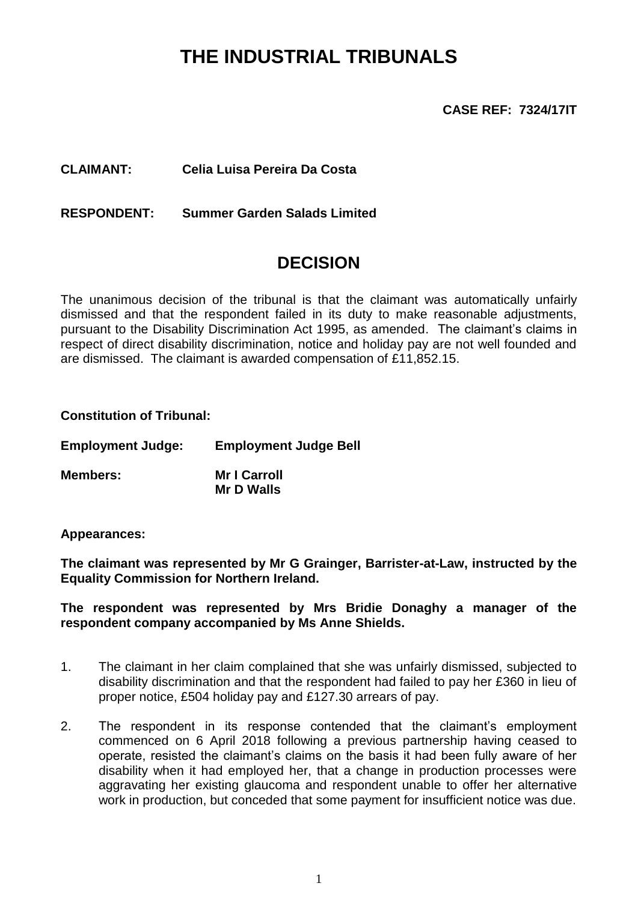# **THE INDUSTRIAL TRIBUNALS**

**CASE REF: 7324/17IT**

## **CLAIMANT: Celia Luisa Pereira Da Costa**

**RESPONDENT: Summer Garden Salads Limited**

## **DECISION**

The unanimous decision of the tribunal is that the claimant was automatically unfairly dismissed and that the respondent failed in its duty to make reasonable adjustments, pursuant to the Disability Discrimination Act 1995, as amended. The claimant's claims in respect of direct disability discrimination, notice and holiday pay are not well founded and are dismissed. The claimant is awarded compensation of £11,852.15.

#### **Constitution of Tribunal:**

**Employment Judge: Employment Judge Bell**

**Members: Mr I Carroll Mr D Walls**

#### **Appearances:**

**The claimant was represented by Mr G Grainger, Barrister-at-Law, instructed by the Equality Commission for Northern Ireland.**

**The respondent was represented by Mrs Bridie Donaghy a manager of the respondent company accompanied by Ms Anne Shields.**

- 1. The claimant in her claim complained that she was unfairly dismissed, subjected to disability discrimination and that the respondent had failed to pay her £360 in lieu of proper notice, £504 holiday pay and £127.30 arrears of pay.
- 2. The respondent in its response contended that the claimant's employment commenced on 6 April 2018 following a previous partnership having ceased to operate, resisted the claimant's claims on the basis it had been fully aware of her disability when it had employed her, that a change in production processes were aggravating her existing glaucoma and respondent unable to offer her alternative work in production, but conceded that some payment for insufficient notice was due.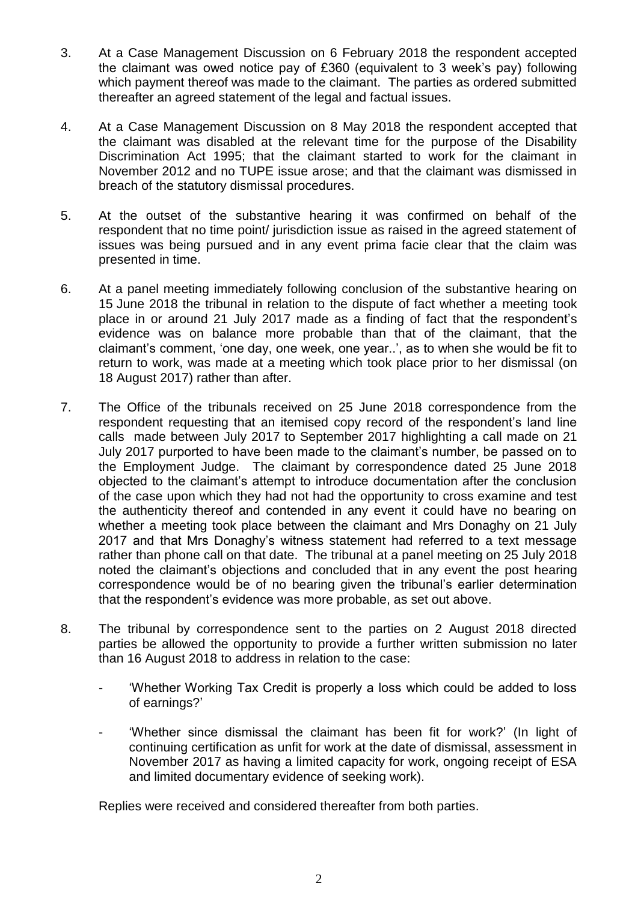- 3. At a Case Management Discussion on 6 February 2018 the respondent accepted the claimant was owed notice pay of £360 (equivalent to 3 week's pay) following which payment thereof was made to the claimant. The parties as ordered submitted thereafter an agreed statement of the legal and factual issues.
- 4. At a Case Management Discussion on 8 May 2018 the respondent accepted that the claimant was disabled at the relevant time for the purpose of the Disability Discrimination Act 1995; that the claimant started to work for the claimant in November 2012 and no TUPE issue arose; and that the claimant was dismissed in breach of the statutory dismissal procedures.
- 5. At the outset of the substantive hearing it was confirmed on behalf of the respondent that no time point/ jurisdiction issue as raised in the agreed statement of issues was being pursued and in any event prima facie clear that the claim was presented in time.
- 6. At a panel meeting immediately following conclusion of the substantive hearing on 15 June 2018 the tribunal in relation to the dispute of fact whether a meeting took place in or around 21 July 2017 made as a finding of fact that the respondent's evidence was on balance more probable than that of the claimant, that the claimant's comment, 'one day, one week, one year..', as to when she would be fit to return to work, was made at a meeting which took place prior to her dismissal (on 18 August 2017) rather than after.
- 7. The Office of the tribunals received on 25 June 2018 correspondence from the respondent requesting that an itemised copy record of the respondent's land line calls made between July 2017 to September 2017 highlighting a call made on 21 July 2017 purported to have been made to the claimant's number, be passed on to the Employment Judge. The claimant by correspondence dated 25 June 2018 objected to the claimant's attempt to introduce documentation after the conclusion of the case upon which they had not had the opportunity to cross examine and test the authenticity thereof and contended in any event it could have no bearing on whether a meeting took place between the claimant and Mrs Donaghy on 21 July 2017 and that Mrs Donaghy's witness statement had referred to a text message rather than phone call on that date. The tribunal at a panel meeting on 25 July 2018 noted the claimant's objections and concluded that in any event the post hearing correspondence would be of no bearing given the tribunal's earlier determination that the respondent's evidence was more probable, as set out above.
- 8. The tribunal by correspondence sent to the parties on 2 August 2018 directed parties be allowed the opportunity to provide a further written submission no later than 16 August 2018 to address in relation to the case:
	- 'Whether Working Tax Credit is properly a loss which could be added to loss of earnings?'
	- 'Whether since dismissal the claimant has been fit for work?' (In light of continuing certification as unfit for work at the date of dismissal, assessment in November 2017 as having a limited capacity for work, ongoing receipt of ESA and limited documentary evidence of seeking work).

Replies were received and considered thereafter from both parties.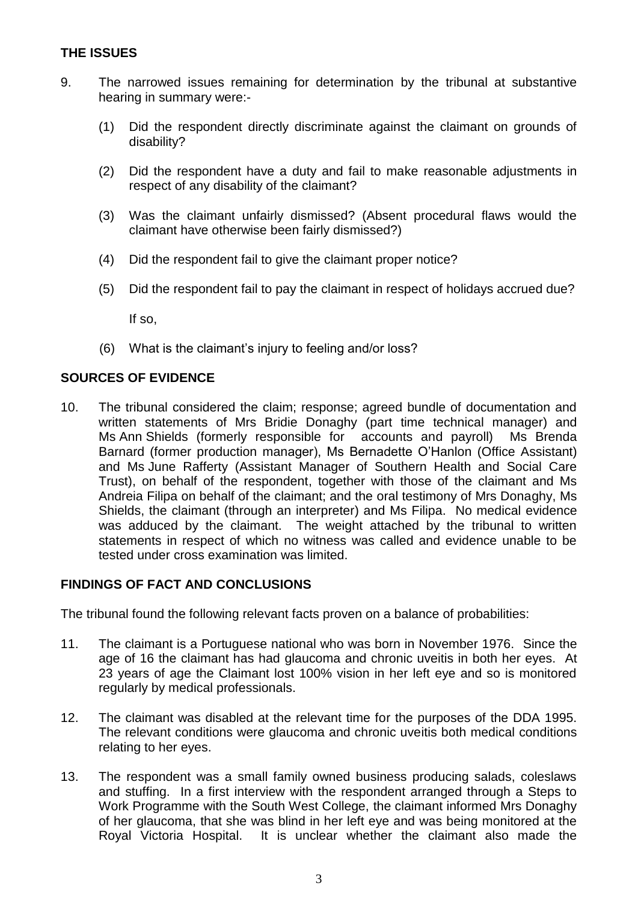## **THE ISSUES**

- 9. The narrowed issues remaining for determination by the tribunal at substantive hearing in summary were:-
	- (1) Did the respondent directly discriminate against the claimant on grounds of disability?
	- (2) Did the respondent have a duty and fail to make reasonable adjustments in respect of any disability of the claimant?
	- (3) Was the claimant unfairly dismissed? (Absent procedural flaws would the claimant have otherwise been fairly dismissed?)
	- (4) Did the respondent fail to give the claimant proper notice?
	- (5) Did the respondent fail to pay the claimant in respect of holidays accrued due?

If so,

(6) What is the claimant's injury to feeling and/or loss?

#### **SOURCES OF EVIDENCE**

10. The tribunal considered the claim; response; agreed bundle of documentation and written statements of Mrs Bridie Donaghy (part time technical manager) and Ms Ann Shields (formerly responsible for accounts and payroll) Ms Brenda Barnard (former production manager), Ms Bernadette O'Hanlon (Office Assistant) and Ms June Rafferty (Assistant Manager of Southern Health and Social Care Trust), on behalf of the respondent, together with those of the claimant and Ms Andreia Filipa on behalf of the claimant; and the oral testimony of Mrs Donaghy, Ms Shields, the claimant (through an interpreter) and Ms Filipa. No medical evidence was adduced by the claimant. The weight attached by the tribunal to written statements in respect of which no witness was called and evidence unable to be tested under cross examination was limited.

## **FINDINGS OF FACT AND CONCLUSIONS**

The tribunal found the following relevant facts proven on a balance of probabilities:

- 11. The claimant is a Portuguese national who was born in November 1976. Since the age of 16 the claimant has had glaucoma and chronic uveitis in both her eyes. At 23 years of age the Claimant lost 100% vision in her left eye and so is monitored regularly by medical professionals.
- 12. The claimant was disabled at the relevant time for the purposes of the DDA 1995. The relevant conditions were glaucoma and chronic uveitis both medical conditions relating to her eyes.
- 13. The respondent was a small family owned business producing salads, coleslaws and stuffing. In a first interview with the respondent arranged through a Steps to Work Programme with the South West College, the claimant informed Mrs Donaghy of her glaucoma, that she was blind in her left eye and was being monitored at the Royal Victoria Hospital. It is unclear whether the claimant also made the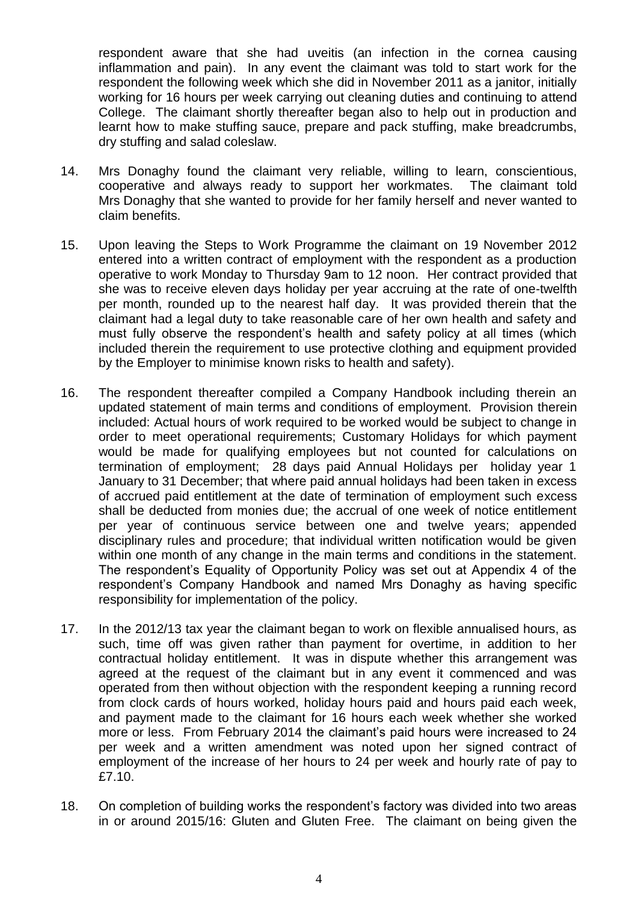respondent aware that she had uveitis (an infection in the cornea causing inflammation and pain). In any event the claimant was told to start work for the respondent the following week which she did in November 2011 as a janitor, initially working for 16 hours per week carrying out cleaning duties and continuing to attend College. The claimant shortly thereafter began also to help out in production and learnt how to make stuffing sauce, prepare and pack stuffing, make breadcrumbs, dry stuffing and salad coleslaw.

- 14. Mrs Donaghy found the claimant very reliable, willing to learn, conscientious, cooperative and always ready to support her workmates. The claimant told Mrs Donaghy that she wanted to provide for her family herself and never wanted to claim benefits.
- 15. Upon leaving the Steps to Work Programme the claimant on 19 November 2012 entered into a written contract of employment with the respondent as a production operative to work Monday to Thursday 9am to 12 noon. Her contract provided that she was to receive eleven days holiday per year accruing at the rate of one-twelfth per month, rounded up to the nearest half day. It was provided therein that the claimant had a legal duty to take reasonable care of her own health and safety and must fully observe the respondent's health and safety policy at all times (which included therein the requirement to use protective clothing and equipment provided by the Employer to minimise known risks to health and safety).
- 16. The respondent thereafter compiled a Company Handbook including therein an updated statement of main terms and conditions of employment. Provision therein included: Actual hours of work required to be worked would be subject to change in order to meet operational requirements; Customary Holidays for which payment would be made for qualifying employees but not counted for calculations on termination of employment; 28 days paid Annual Holidays per holiday year 1 January to 31 December; that where paid annual holidays had been taken in excess of accrued paid entitlement at the date of termination of employment such excess shall be deducted from monies due; the accrual of one week of notice entitlement per year of continuous service between one and twelve years; appended disciplinary rules and procedure; that individual written notification would be given within one month of any change in the main terms and conditions in the statement. The respondent's Equality of Opportunity Policy was set out at Appendix 4 of the respondent's Company Handbook and named Mrs Donaghy as having specific responsibility for implementation of the policy.
- 17. In the 2012/13 tax year the claimant began to work on flexible annualised hours, as such, time off was given rather than payment for overtime, in addition to her contractual holiday entitlement. It was in dispute whether this arrangement was agreed at the request of the claimant but in any event it commenced and was operated from then without objection with the respondent keeping a running record from clock cards of hours worked, holiday hours paid and hours paid each week, and payment made to the claimant for 16 hours each week whether she worked more or less. From February 2014 the claimant's paid hours were increased to 24 per week and a written amendment was noted upon her signed contract of employment of the increase of her hours to 24 per week and hourly rate of pay to £7.10.
- 18. On completion of building works the respondent's factory was divided into two areas in or around 2015/16: Gluten and Gluten Free. The claimant on being given the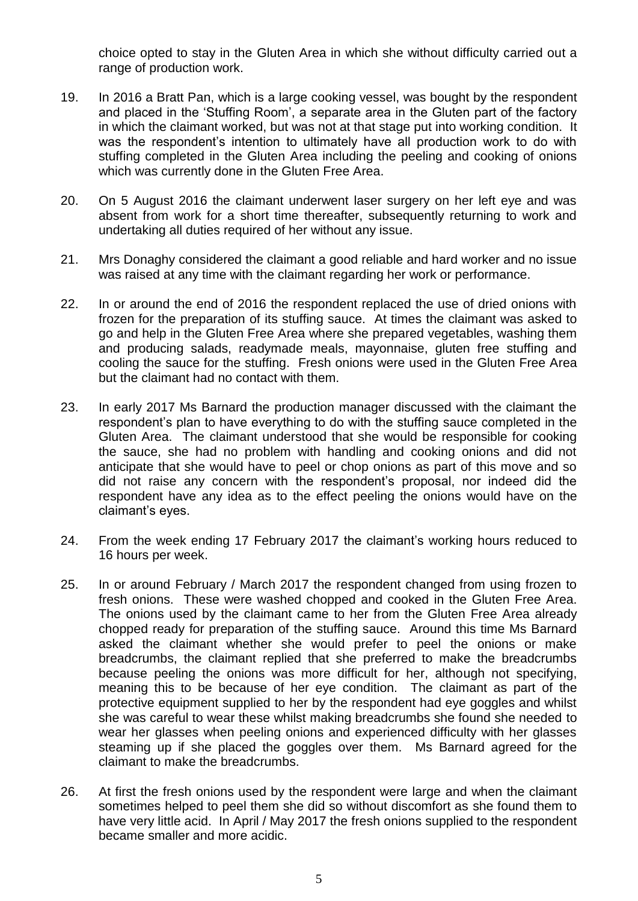choice opted to stay in the Gluten Area in which she without difficulty carried out a range of production work.

- 19. In 2016 a Bratt Pan, which is a large cooking vessel, was bought by the respondent and placed in the 'Stuffing Room', a separate area in the Gluten part of the factory in which the claimant worked, but was not at that stage put into working condition. It was the respondent's intention to ultimately have all production work to do with stuffing completed in the Gluten Area including the peeling and cooking of onions which was currently done in the Gluten Free Area.
- 20. On 5 August 2016 the claimant underwent laser surgery on her left eye and was absent from work for a short time thereafter, subsequently returning to work and undertaking all duties required of her without any issue.
- 21. Mrs Donaghy considered the claimant a good reliable and hard worker and no issue was raised at any time with the claimant regarding her work or performance.
- 22. In or around the end of 2016 the respondent replaced the use of dried onions with frozen for the preparation of its stuffing sauce. At times the claimant was asked to go and help in the Gluten Free Area where she prepared vegetables, washing them and producing salads, readymade meals, mayonnaise, gluten free stuffing and cooling the sauce for the stuffing. Fresh onions were used in the Gluten Free Area but the claimant had no contact with them.
- 23. In early 2017 Ms Barnard the production manager discussed with the claimant the respondent's plan to have everything to do with the stuffing sauce completed in the Gluten Area. The claimant understood that she would be responsible for cooking the sauce, she had no problem with handling and cooking onions and did not anticipate that she would have to peel or chop onions as part of this move and so did not raise any concern with the respondent's proposal, nor indeed did the respondent have any idea as to the effect peeling the onions would have on the claimant's eyes.
- 24. From the week ending 17 February 2017 the claimant's working hours reduced to 16 hours per week.
- 25. In or around February / March 2017 the respondent changed from using frozen to fresh onions. These were washed chopped and cooked in the Gluten Free Area. The onions used by the claimant came to her from the Gluten Free Area already chopped ready for preparation of the stuffing sauce. Around this time Ms Barnard asked the claimant whether she would prefer to peel the onions or make breadcrumbs, the claimant replied that she preferred to make the breadcrumbs because peeling the onions was more difficult for her, although not specifying, meaning this to be because of her eye condition. The claimant as part of the protective equipment supplied to her by the respondent had eye goggles and whilst she was careful to wear these whilst making breadcrumbs she found she needed to wear her glasses when peeling onions and experienced difficulty with her glasses steaming up if she placed the goggles over them. Ms Barnard agreed for the claimant to make the breadcrumbs.
- 26. At first the fresh onions used by the respondent were large and when the claimant sometimes helped to peel them she did so without discomfort as she found them to have very little acid. In April / May 2017 the fresh onions supplied to the respondent became smaller and more acidic.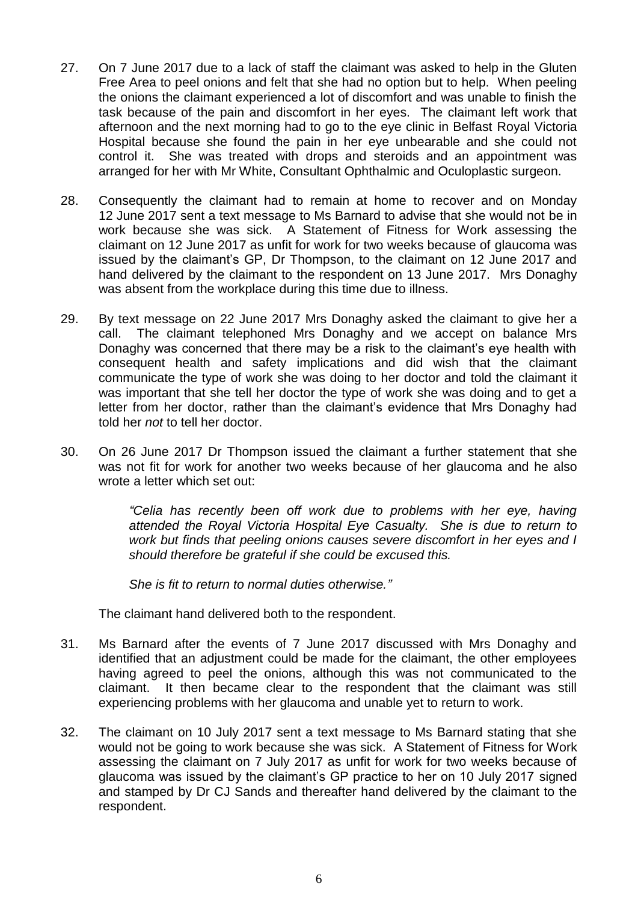- 27. On 7 June 2017 due to a lack of staff the claimant was asked to help in the Gluten Free Area to peel onions and felt that she had no option but to help. When peeling the onions the claimant experienced a lot of discomfort and was unable to finish the task because of the pain and discomfort in her eyes. The claimant left work that afternoon and the next morning had to go to the eye clinic in Belfast Royal Victoria Hospital because she found the pain in her eye unbearable and she could not control it. She was treated with drops and steroids and an appointment was arranged for her with Mr White, Consultant Ophthalmic and Oculoplastic surgeon.
- 28. Consequently the claimant had to remain at home to recover and on Monday 12 June 2017 sent a text message to Ms Barnard to advise that she would not be in work because she was sick. A Statement of Fitness for Work assessing the claimant on 12 June 2017 as unfit for work for two weeks because of glaucoma was issued by the claimant's GP, Dr Thompson, to the claimant on 12 June 2017 and hand delivered by the claimant to the respondent on 13 June 2017. Mrs Donaghy was absent from the workplace during this time due to illness.
- 29. By text message on 22 June 2017 Mrs Donaghy asked the claimant to give her a call. The claimant telephoned Mrs Donaghy and we accept on balance Mrs Donaghy was concerned that there may be a risk to the claimant's eye health with consequent health and safety implications and did wish that the claimant communicate the type of work she was doing to her doctor and told the claimant it was important that she tell her doctor the type of work she was doing and to get a letter from her doctor, rather than the claimant's evidence that Mrs Donaghy had told her *not* to tell her doctor.
- 30. On 26 June 2017 Dr Thompson issued the claimant a further statement that she was not fit for work for another two weeks because of her glaucoma and he also wrote a letter which set out:

*"Celia has recently been off work due to problems with her eye, having attended the Royal Victoria Hospital Eye Casualty. She is due to return to work but finds that peeling onions causes severe discomfort in her eyes and I should therefore be grateful if she could be excused this.*

*She is fit to return to normal duties otherwise."*

The claimant hand delivered both to the respondent.

- 31. Ms Barnard after the events of 7 June 2017 discussed with Mrs Donaghy and identified that an adjustment could be made for the claimant, the other employees having agreed to peel the onions, although this was not communicated to the claimant. It then became clear to the respondent that the claimant was still experiencing problems with her glaucoma and unable yet to return to work.
- 32. The claimant on 10 July 2017 sent a text message to Ms Barnard stating that she would not be going to work because she was sick. A Statement of Fitness for Work assessing the claimant on 7 July 2017 as unfit for work for two weeks because of glaucoma was issued by the claimant's GP practice to her on 10 July 2017 signed and stamped by Dr CJ Sands and thereafter hand delivered by the claimant to the respondent.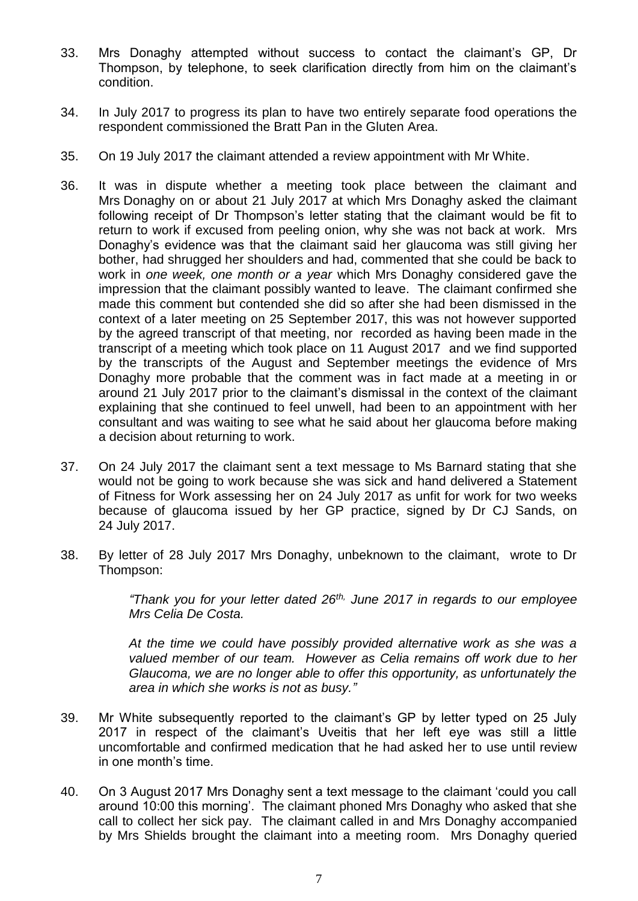- 33. Mrs Donaghy attempted without success to contact the claimant's GP, Dr Thompson, by telephone, to seek clarification directly from him on the claimant's condition.
- 34. In July 2017 to progress its plan to have two entirely separate food operations the respondent commissioned the Bratt Pan in the Gluten Area.
- 35. On 19 July 2017 the claimant attended a review appointment with Mr White.
- 36. It was in dispute whether a meeting took place between the claimant and Mrs Donaghy on or about 21 July 2017 at which Mrs Donaghy asked the claimant following receipt of Dr Thompson's letter stating that the claimant would be fit to return to work if excused from peeling onion, why she was not back at work. Mrs Donaghy's evidence was that the claimant said her glaucoma was still giving her bother, had shrugged her shoulders and had, commented that she could be back to work in *one week, one month or a year* which Mrs Donaghy considered gave the impression that the claimant possibly wanted to leave. The claimant confirmed she made this comment but contended she did so after she had been dismissed in the context of a later meeting on 25 September 2017, this was not however supported by the agreed transcript of that meeting, nor recorded as having been made in the transcript of a meeting which took place on 11 August 2017 and we find supported by the transcripts of the August and September meetings the evidence of Mrs Donaghy more probable that the comment was in fact made at a meeting in or around 21 July 2017 prior to the claimant's dismissal in the context of the claimant explaining that she continued to feel unwell, had been to an appointment with her consultant and was waiting to see what he said about her glaucoma before making a decision about returning to work.
- 37. On 24 July 2017 the claimant sent a text message to Ms Barnard stating that she would not be going to work because she was sick and hand delivered a Statement of Fitness for Work assessing her on 24 July 2017 as unfit for work for two weeks because of glaucoma issued by her GP practice, signed by Dr CJ Sands, on 24 July 2017.
- 38. By letter of 28 July 2017 Mrs Donaghy, unbeknown to the claimant, wrote to Dr Thompson:

*"Thank you for your letter dated 26th, June 2017 in regards to our employee Mrs Celia De Costa.*

*At the time we could have possibly provided alternative work as she was a valued member of our team. However as Celia remains off work due to her Glaucoma, we are no longer able to offer this opportunity, as unfortunately the area in which she works is not as busy."*

- 39. Mr White subsequently reported to the claimant's GP by letter typed on 25 July 2017 in respect of the claimant's Uveitis that her left eye was still a little uncomfortable and confirmed medication that he had asked her to use until review in one month's time.
- 40. On 3 August 2017 Mrs Donaghy sent a text message to the claimant 'could you call around 10:00 this morning'. The claimant phoned Mrs Donaghy who asked that she call to collect her sick pay. The claimant called in and Mrs Donaghy accompanied by Mrs Shields brought the claimant into a meeting room. Mrs Donaghy queried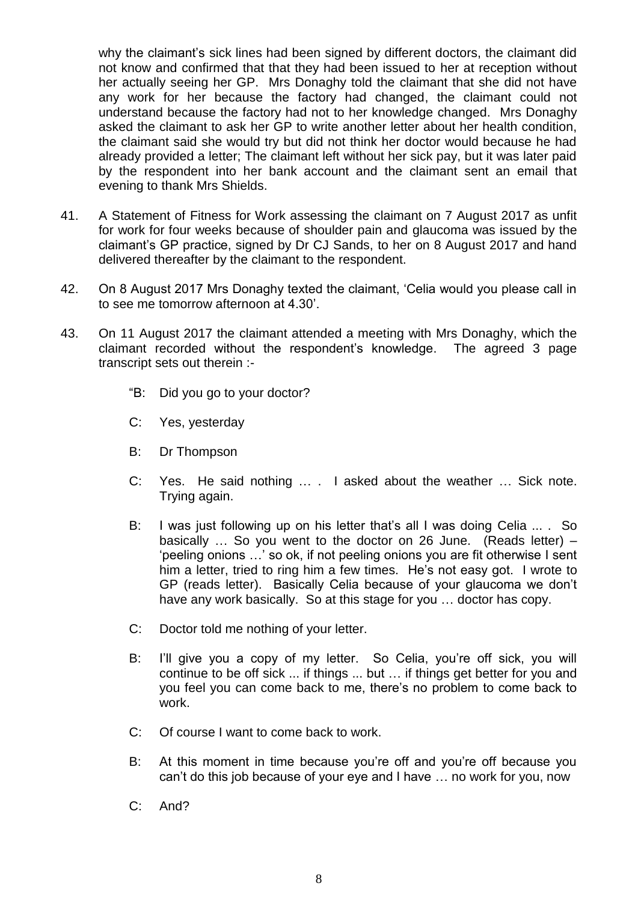why the claimant's sick lines had been signed by different doctors, the claimant did not know and confirmed that that they had been issued to her at reception without her actually seeing her GP. Mrs Donaghy told the claimant that she did not have any work for her because the factory had changed, the claimant could not understand because the factory had not to her knowledge changed. Mrs Donaghy asked the claimant to ask her GP to write another letter about her health condition, the claimant said she would try but did not think her doctor would because he had already provided a letter; The claimant left without her sick pay, but it was later paid by the respondent into her bank account and the claimant sent an email that evening to thank Mrs Shields.

- 41. A Statement of Fitness for Work assessing the claimant on 7 August 2017 as unfit for work for four weeks because of shoulder pain and glaucoma was issued by the claimant's GP practice, signed by Dr CJ Sands, to her on 8 August 2017 and hand delivered thereafter by the claimant to the respondent.
- 42. On 8 August 2017 Mrs Donaghy texted the claimant, 'Celia would you please call in to see me tomorrow afternoon at 4.30'.
- 43. On 11 August 2017 the claimant attended a meeting with Mrs Donaghy, which the claimant recorded without the respondent's knowledge. The agreed 3 page transcript sets out therein :-
	- "B: Did you go to your doctor?
	- C: Yes, yesterday
	- B: Dr Thompson
	- C: Yes. He said nothing … . I asked about the weather … Sick note. Trying again.
	- B: I was just following up on his letter that's all I was doing Celia ... . So basically  $\ldots$  So you went to the doctor on 26 June. (Reads letter) – 'peeling onions …' so ok, if not peeling onions you are fit otherwise I sent him a letter, tried to ring him a few times. He's not easy got. I wrote to GP (reads letter). Basically Celia because of your glaucoma we don't have any work basically. So at this stage for you … doctor has copy.
	- C: Doctor told me nothing of your letter.
	- B: I'll give you a copy of my letter. So Celia, you're off sick, you will continue to be off sick ... if things ... but … if things get better for you and you feel you can come back to me, there's no problem to come back to work.
	- C: Of course I want to come back to work.
	- B: At this moment in time because you're off and you're off because you can't do this job because of your eye and I have … no work for you, now
	- C: And?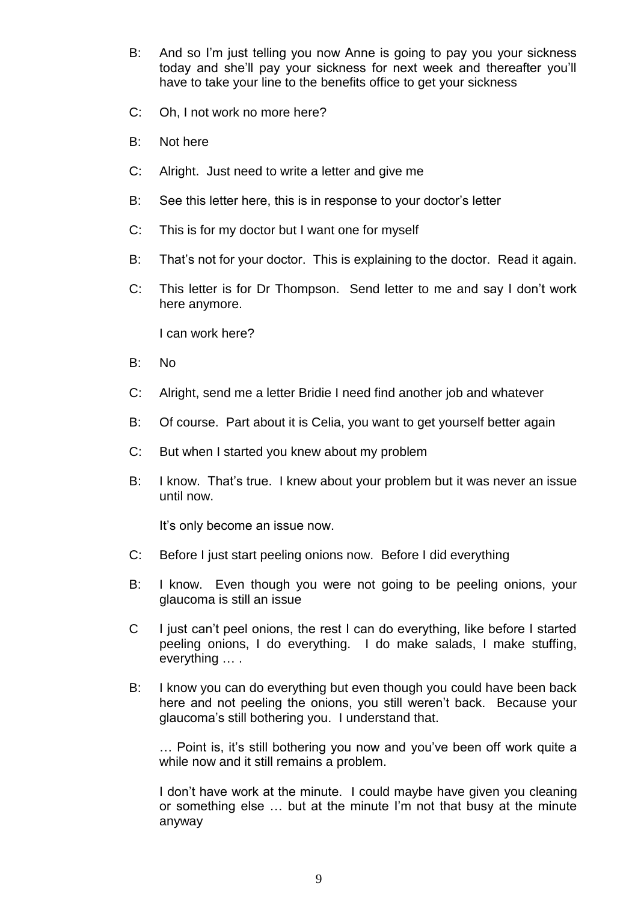- B: And so I'm just telling you now Anne is going to pay you your sickness today and she'll pay your sickness for next week and thereafter you'll have to take your line to the benefits office to get your sickness
- C: Oh, I not work no more here?
- B: Not here
- C: Alright. Just need to write a letter and give me
- B: See this letter here, this is in response to your doctor's letter
- C: This is for my doctor but I want one for myself
- B: That's not for your doctor. This is explaining to the doctor. Read it again.
- C: This letter is for Dr Thompson. Send letter to me and say I don't work here anymore.

I can work here?

- B: No
- C: Alright, send me a letter Bridie I need find another job and whatever
- B: Of course. Part about it is Celia, you want to get yourself better again
- C: But when I started you knew about my problem
- B: I know. That's true. I knew about your problem but it was never an issue until now.

It's only become an issue now.

- C: Before I just start peeling onions now. Before I did everything
- B: I know. Even though you were not going to be peeling onions, your glaucoma is still an issue
- C I just can't peel onions, the rest I can do everything, like before I started peeling onions, I do everything. I do make salads, I make stuffing, everything … .
- B: I know you can do everything but even though you could have been back here and not peeling the onions, you still weren't back. Because your glaucoma's still bothering you. I understand that.

… Point is, it's still bothering you now and you've been off work quite a while now and it still remains a problem.

I don't have work at the minute. I could maybe have given you cleaning or something else … but at the minute I'm not that busy at the minute anyway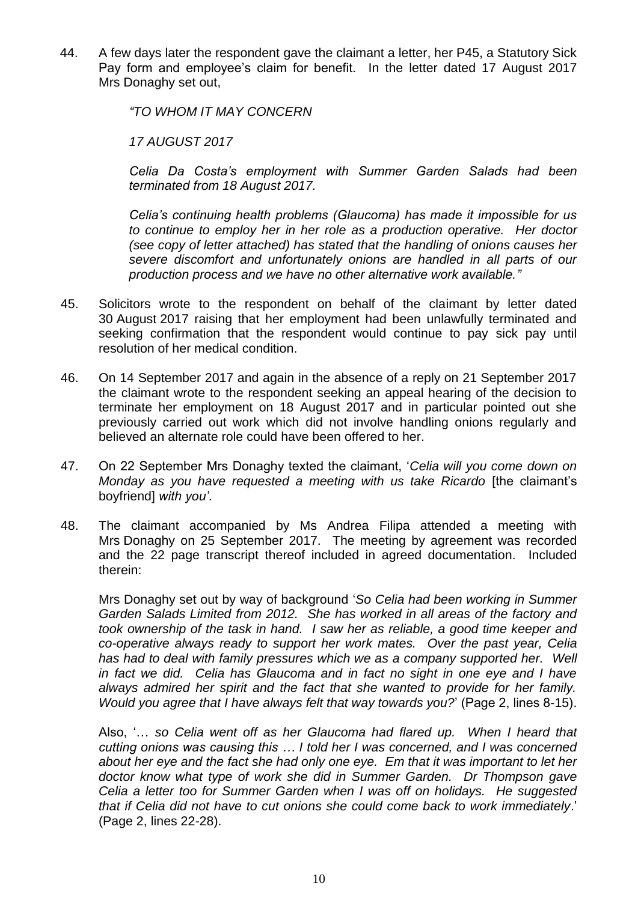44. A few days later the respondent gave the claimant a letter, her P45, a Statutory Sick Pay form and employee's claim for benefit. In the letter dated 17 August 2017 Mrs Donaghy set out,

*"TO WHOM IT MAY CONCERN*

*17 AUGUST 2017*

*Celia Da Costa's employment with Summer Garden Salads had been terminated from 18 August 2017.*

*Celia's continuing health problems (Glaucoma) has made it impossible for us to continue to employ her in her role as a production operative. Her doctor (see copy of letter attached) has stated that the handling of onions causes her severe discomfort and unfortunately onions are handled in all parts of our production process and we have no other alternative work available."* 

- 45. Solicitors wrote to the respondent on behalf of the claimant by letter dated 30 August 2017 raising that her employment had been unlawfully terminated and seeking confirmation that the respondent would continue to pay sick pay until resolution of her medical condition.
- 46. On 14 September 2017 and again in the absence of a reply on 21 September 2017 the claimant wrote to the respondent seeking an appeal hearing of the decision to terminate her employment on 18 August 2017 and in particular pointed out she previously carried out work which did not involve handling onions regularly and believed an alternate role could have been offered to her.
- 47. On 22 September Mrs Donaghy texted the claimant, '*Celia will you come down on Monday as you have requested a meeting with us take Ricardo* [the claimant's boyfriend] *with you'*.
- 48. The claimant accompanied by Ms Andrea Filipa attended a meeting with Mrs Donaghy on 25 September 2017. The meeting by agreement was recorded and the 22 page transcript thereof included in agreed documentation. Included therein:

Mrs Donaghy set out by way of background '*So Celia had been working in Summer Garden Salads Limited from 2012. She has worked in all areas of the factory and took ownership of the task in hand. I saw her as reliable, a good time keeper and co-operative always ready to support her work mates. Over the past year, Celia has had to deal with family pressures which we as a company supported her. Well in fact we did. Celia has Glaucoma and in fact no sight in one eye and I have always admired her spirit and the fact that she wanted to provide for her family. Would you agree that I have always felt that way towards you?*' (Page 2, lines 8-15).

Also, '… *so Celia went off as her Glaucoma had flared up. When I heard that cutting onions was causing this … I told her I was concerned, and I was concerned about her eye and the fact she had only one eye. Em that it was important to let her doctor know what type of work she did in Summer Garden. Dr Thompson gave Celia a letter too for Summer Garden when I was off on holidays. He suggested that if Celia did not have to cut onions she could come back to work immediately*.' (Page 2, lines 22-28).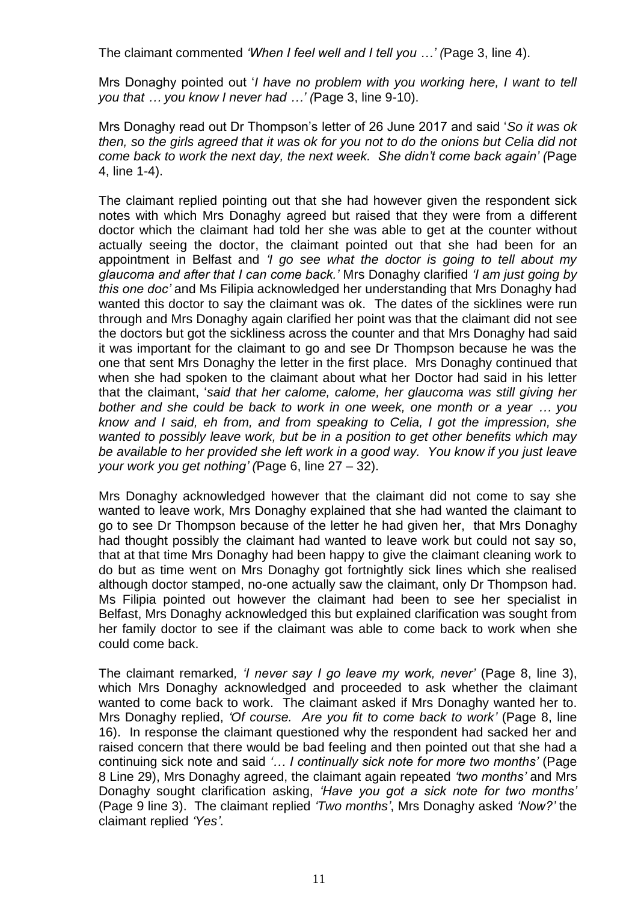The claimant commented *'When I feel well and I tell you …' (*Page 3, line 4).

Mrs Donaghy pointed out '*I have no problem with you working here, I want to tell you that … you know I never had …' (*Page 3, line 9-10).

Mrs Donaghy read out Dr Thompson's letter of 26 June 2017 and said '*So it was ok then, so the girls agreed that it was ok for you not to do the onions but Celia did not come back to work the next day, the next week. She didn't come back again' (*Page 4, line 1-4).

The claimant replied pointing out that she had however given the respondent sick notes with which Mrs Donaghy agreed but raised that they were from a different doctor which the claimant had told her she was able to get at the counter without actually seeing the doctor, the claimant pointed out that she had been for an appointment in Belfast and *'I go see what the doctor is going to tell about my glaucoma and after that I can come back.'* Mrs Donaghy clarified *'I am just going by this one doc'* and Ms Filipia acknowledged her understanding that Mrs Donaghy had wanted this doctor to say the claimant was ok. The dates of the sicklines were run through and Mrs Donaghy again clarified her point was that the claimant did not see the doctors but got the sickliness across the counter and that Mrs Donaghy had said it was important for the claimant to go and see Dr Thompson because he was the one that sent Mrs Donaghy the letter in the first place. Mrs Donaghy continued that when she had spoken to the claimant about what her Doctor had said in his letter that the claimant, '*said that her calome, calome, her glaucoma was still giving her bother and she could be back to work in one week, one month or a year … you know and I said, eh from, and from speaking to Celia, I got the impression, she wanted to possibly leave work, but be in a position to get other benefits which may be available to her provided she left work in a good way. You know if you just leave your work you get nothing' (*Page 6, line 27 – 32).

Mrs Donaghy acknowledged however that the claimant did not come to say she wanted to leave work, Mrs Donaghy explained that she had wanted the claimant to go to see Dr Thompson because of the letter he had given her, that Mrs Donaghy had thought possibly the claimant had wanted to leave work but could not say so, that at that time Mrs Donaghy had been happy to give the claimant cleaning work to do but as time went on Mrs Donaghy got fortnightly sick lines which she realised although doctor stamped, no-one actually saw the claimant, only Dr Thompson had. Ms Filipia pointed out however the claimant had been to see her specialist in Belfast, Mrs Donaghy acknowledged this but explained clarification was sought from her family doctor to see if the claimant was able to come back to work when she could come back.

The claimant remarked*, 'I never say I go leave my work, never'* (Page 8, line 3), which Mrs Donaghy acknowledged and proceeded to ask whether the claimant wanted to come back to work. The claimant asked if Mrs Donaghy wanted her to. Mrs Donaghy replied, *'Of course. Are you fit to come back to work'* (Page 8, line 16). In response the claimant questioned why the respondent had sacked her and raised concern that there would be bad feeling and then pointed out that she had a continuing sick note and said *'… I continually sick note for more two months'* (Page 8 Line 29), Mrs Donaghy agreed, the claimant again repeated *'two months'* and Mrs Donaghy sought clarification asking, *'Have you got a sick note for two months'* (Page 9 line 3). The claimant replied *'Two months'*, Mrs Donaghy asked *'Now?'* the claimant replied *'Yes'*.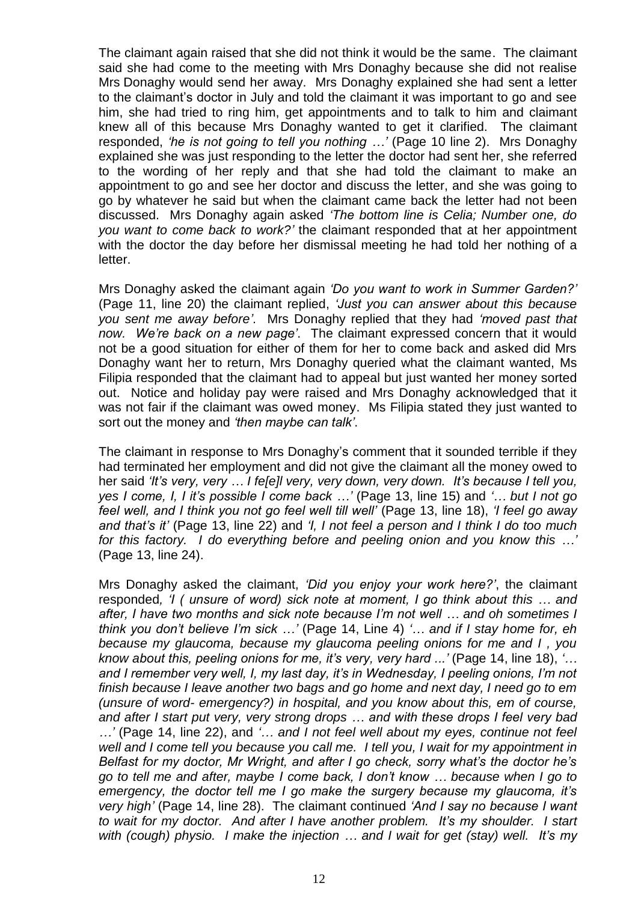The claimant again raised that she did not think it would be the same. The claimant said she had come to the meeting with Mrs Donaghy because she did not realise Mrs Donaghy would send her away. Mrs Donaghy explained she had sent a letter to the claimant's doctor in July and told the claimant it was important to go and see him, she had tried to ring him, get appointments and to talk to him and claimant knew all of this because Mrs Donaghy wanted to get it clarified. The claimant responded, *'he is not going to tell you nothing …'* (Page 10 line 2). Mrs Donaghy explained she was just responding to the letter the doctor had sent her, she referred to the wording of her reply and that she had told the claimant to make an appointment to go and see her doctor and discuss the letter, and she was going to go by whatever he said but when the claimant came back the letter had not been discussed. Mrs Donaghy again asked *'The bottom line is Celia; Number one, do you want to come back to work?'* the claimant responded that at her appointment with the doctor the day before her dismissal meeting he had told her nothing of a letter.

Mrs Donaghy asked the claimant again *'Do you want to work in Summer Garden?'* (Page 11, line 20) the claimant replied, *'Just you can answer about this because you sent me away before'*. Mrs Donaghy replied that they had *'moved past that now. We're back on a new page'*. The claimant expressed concern that it would not be a good situation for either of them for her to come back and asked did Mrs Donaghy want her to return, Mrs Donaghy queried what the claimant wanted, Ms Filipia responded that the claimant had to appeal but just wanted her money sorted out. Notice and holiday pay were raised and Mrs Donaghy acknowledged that it was not fair if the claimant was owed money. Ms Filipia stated they just wanted to sort out the money and *'then maybe can talk'*.

The claimant in response to Mrs Donaghy's comment that it sounded terrible if they had terminated her employment and did not give the claimant all the money owed to her said *'It's very, very … I fe[e]l very, very down, very down. It's because I tell you, yes I come, I, I it's possible I come back …'* (Page 13, line 15) and *'… but I not go feel well, and I think you not go feel well till well'* (Page 13, line 18), *'I feel go away and that's it'* (Page 13, line 22) and *'I, I not feel a person and I think I do too much for this factory. I do everything before and peeling onion and you know this …'*  (Page 13, line 24).

Mrs Donaghy asked the claimant, *'Did you enjoy your work here?'*, the claimant responded*, 'I ( unsure of word) sick note at moment, I go think about this … and after, I have two months and sick note because I'm not well … and oh sometimes I think you don't believe I'm sick …'* (Page 14, Line 4) *'… and if I stay home for, eh because my glaucoma, because my glaucoma peeling onions for me and I , you know about this, peeling onions for me, it's very, very hard ...'* (Page 14, line 18), *'… and I remember very well, I, my last day, it's in Wednesday, I peeling onions, I'm not finish because I leave another two bags and go home and next day, I need go to em (unsure of word- emergency?) in hospital, and you know about this, em of course, and after I start put very, very strong drops … and with these drops I feel very bad …'* (Page 14, line 22), and *'… and I not feel well about my eyes, continue not feel well and I come tell you because you call me. I tell you, I wait for my appointment in Belfast for my doctor, Mr Wright, and after I go check, sorry what's the doctor he's go to tell me and after, maybe I come back, I don't know … because when I go to emergency, the doctor tell me I go make the surgery because my glaucoma, it's very high'* (Page 14, line 28). The claimant continued *'And I say no because I want to wait for my doctor. And after I have another problem. It's my shoulder. I start with (cough) physio. I make the injection … and I wait for get (stay) well. It's my*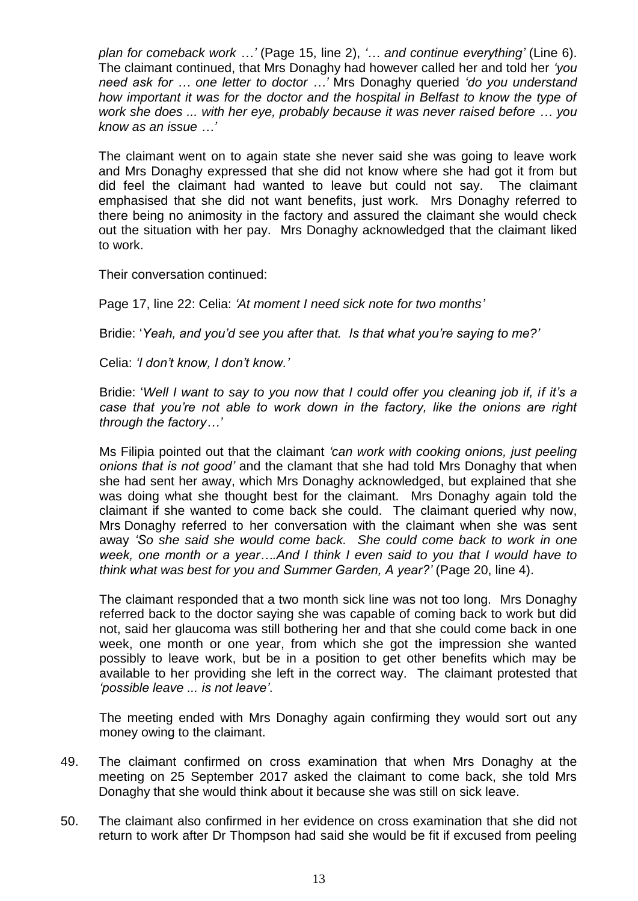*plan for comeback work …'* (Page 15, line 2), *'… and continue everything'* (Line 6). The claimant continued, that Mrs Donaghy had however called her and told her *'you need ask for … one letter to doctor …'* Mrs Donaghy queried *'do you understand how important it was for the doctor and the hospital in Belfast to know the type of work she does ... with her eye, probably because it was never raised before … you know as an issue …'*

The claimant went on to again state she never said she was going to leave work and Mrs Donaghy expressed that she did not know where she had got it from but did feel the claimant had wanted to leave but could not say. The claimant emphasised that she did not want benefits, just work. Mrs Donaghy referred to there being no animosity in the factory and assured the claimant she would check out the situation with her pay. Mrs Donaghy acknowledged that the claimant liked to work.

Their conversation continued:

Page 17, line 22: Celia: *'At moment I need sick note for two months'*

Bridie: '*Yeah, and you'd see you after that. Is that what you're saying to me?'*

Celia: *'I don't know, I don't know.'*

Bridie: '*Well I want to say to you now that I could offer you cleaning job if, if it's a case that you're not able to work down in the factory, like the onions are right through the factory…'*

Ms Filipia pointed out that the claimant *'can work with cooking onions, just peeling onions that is not good'* and the clamant that she had told Mrs Donaghy that when she had sent her away, which Mrs Donaghy acknowledged, but explained that she was doing what she thought best for the claimant. Mrs Donaghy again told the claimant if she wanted to come back she could. The claimant queried why now, Mrs Donaghy referred to her conversation with the claimant when she was sent away *'So she said she would come back. She could come back to work in one week, one month or a year….And I think I even said to you that I would have to think what was best for you and Summer Garden, A year?'* (Page 20, line 4).

The claimant responded that a two month sick line was not too long. Mrs Donaghy referred back to the doctor saying she was capable of coming back to work but did not, said her glaucoma was still bothering her and that she could come back in one week, one month or one year, from which she got the impression she wanted possibly to leave work, but be in a position to get other benefits which may be available to her providing she left in the correct way. The claimant protested that *'possible leave ... is not leave'*.

The meeting ended with Mrs Donaghy again confirming they would sort out any money owing to the claimant.

- 49. The claimant confirmed on cross examination that when Mrs Donaghy at the meeting on 25 September 2017 asked the claimant to come back, she told Mrs Donaghy that she would think about it because she was still on sick leave.
- 50. The claimant also confirmed in her evidence on cross examination that she did not return to work after Dr Thompson had said she would be fit if excused from peeling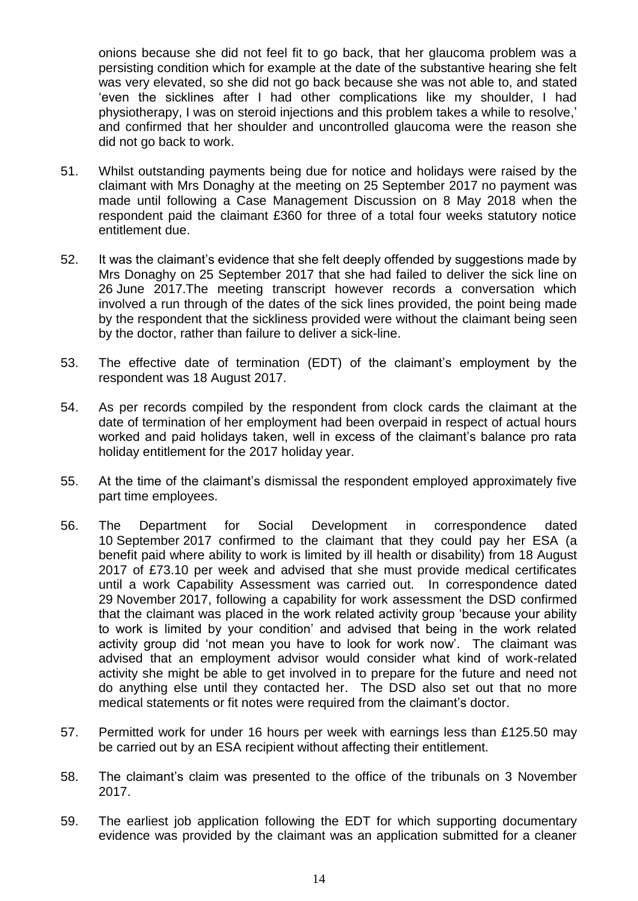onions because she did not feel fit to go back, that her glaucoma problem was a persisting condition which for example at the date of the substantive hearing she felt was very elevated, so she did not go back because she was not able to, and stated 'even the sicklines after I had other complications like my shoulder, I had physiotherapy, I was on steroid injections and this problem takes a while to resolve,' and confirmed that her shoulder and uncontrolled glaucoma were the reason she did not go back to work.

- 51. Whilst outstanding payments being due for notice and holidays were raised by the claimant with Mrs Donaghy at the meeting on 25 September 2017 no payment was made until following a Case Management Discussion on 8 May 2018 when the respondent paid the claimant £360 for three of a total four weeks statutory notice entitlement due.
- 52. It was the claimant's evidence that she felt deeply offended by suggestions made by Mrs Donaghy on 25 September 2017 that she had failed to deliver the sick line on 26 June 2017.The meeting transcript however records a conversation which involved a run through of the dates of the sick lines provided, the point being made by the respondent that the sickliness provided were without the claimant being seen by the doctor, rather than failure to deliver a sick-line.
- 53. The effective date of termination (EDT) of the claimant's employment by the respondent was 18 August 2017.
- 54. As per records compiled by the respondent from clock cards the claimant at the date of termination of her employment had been overpaid in respect of actual hours worked and paid holidays taken, well in excess of the claimant's balance pro rata holiday entitlement for the 2017 holiday year.
- 55. At the time of the claimant's dismissal the respondent employed approximately five part time employees.
- 56. The Department for Social Development in correspondence dated 10 September 2017 confirmed to the claimant that they could pay her ESA (a benefit paid where ability to work is limited by ill health or disability) from 18 August 2017 of £73.10 per week and advised that she must provide medical certificates until a work Capability Assessment was carried out. In correspondence dated 29 November 2017, following a capability for work assessment the DSD confirmed that the claimant was placed in the work related activity group 'because your ability to work is limited by your condition' and advised that being in the work related activity group did 'not mean you have to look for work now'. The claimant was advised that an employment advisor would consider what kind of work-related activity she might be able to get involved in to prepare for the future and need not do anything else until they contacted her. The DSD also set out that no more medical statements or fit notes were required from the claimant's doctor.
- 57. Permitted work for under 16 hours per week with earnings less than £125.50 may be carried out by an ESA recipient without affecting their entitlement.
- 58. The claimant's claim was presented to the office of the tribunals on 3 November 2017.
- 59. The earliest job application following the EDT for which supporting documentary evidence was provided by the claimant was an application submitted for a cleaner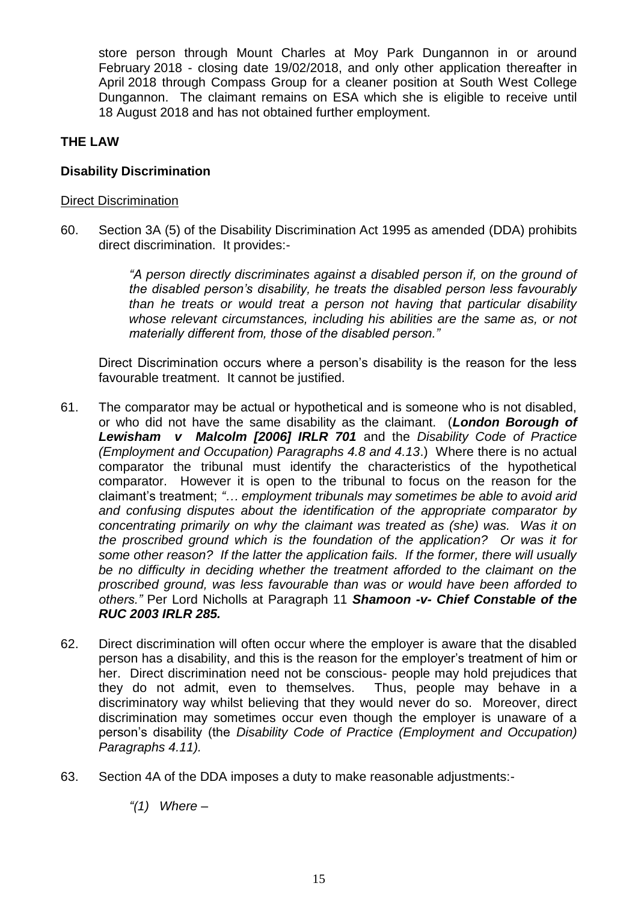store person through Mount Charles at Moy Park Dungannon in or around February 2018 - closing date 19/02/2018, and only other application thereafter in April 2018 through Compass Group for a cleaner position at South West College Dungannon. The claimant remains on ESA which she is eligible to receive until 18 August 2018 and has not obtained further employment.

## **THE LAW**

## **Disability Discrimination**

#### Direct Discrimination

60. Section 3A (5) of the Disability Discrimination Act 1995 as amended (DDA) prohibits direct discrimination. It provides:-

> *"A person directly discriminates against a disabled person if, on the ground of the disabled person's disability, he treats the disabled person less favourably than he treats or would treat a person not having that particular disability whose relevant circumstances, including his abilities are the same as, or not materially different from, those of the disabled person."*

Direct Discrimination occurs where a person's disability is the reason for the less favourable treatment. It cannot be justified.

- 61. The comparator may be actual or hypothetical and is someone who is not disabled, or who did not have the same disability as the claimant. (*London Borough of Lewisham v Malcolm [2006] IRLR 701* and the *Disability Code of Practice (Employment and Occupation) Paragraphs 4.8 and 4.13*.)Where there is no actual comparator the tribunal must identify the characteristics of the hypothetical comparator. However it is open to the tribunal to focus on the reason for the claimant's treatment; *"… employment tribunals may sometimes be able to avoid arid and confusing disputes about the identification of the appropriate comparator by concentrating primarily on why the claimant was treated as (she) was. Was it on the proscribed ground which is the foundation of the application? Or was it for some other reason? If the latter the application fails. If the former, there will usually be no difficulty in deciding whether the treatment afforded to the claimant on the proscribed ground, was less favourable than was or would have been afforded to others."* Per Lord Nicholls at Paragraph 11 *Shamoon -v- Chief Constable of the RUC 2003 IRLR 285.*
- 62. Direct discrimination will often occur where the employer is aware that the disabled person has a disability, and this is the reason for the employer's treatment of him or her. Direct discrimination need not be conscious- people may hold prejudices that they do not admit, even to themselves. Thus, people may behave in a discriminatory way whilst believing that they would never do so. Moreover, direct discrimination may sometimes occur even though the employer is unaware of a person's disability (the *Disability Code of Practice (Employment and Occupation) Paragraphs 4.11).*
- 63. Section 4A of the DDA imposes a duty to make reasonable adjustments:-

*"(1) Where –*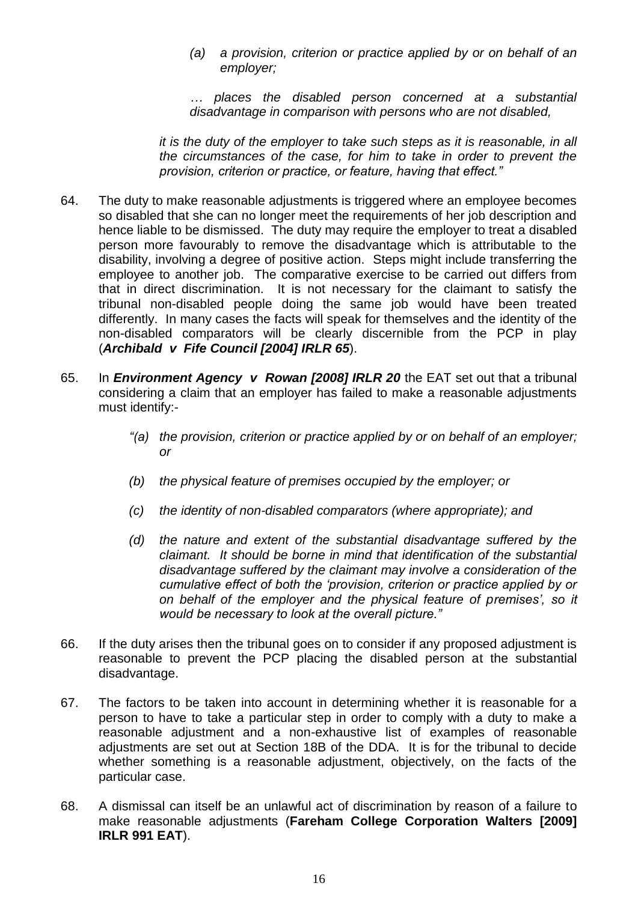*(a) a provision, criterion or practice applied by or on behalf of an employer;*

*… places the disabled person concerned at a substantial disadvantage in comparison with persons who are not disabled,*

*it is the duty of the employer to take such steps as it is reasonable, in all the circumstances of the case, for him to take in order to prevent the provision, criterion or practice, or feature, having that effect."*

- 64. The duty to make reasonable adjustments is triggered where an employee becomes so disabled that she can no longer meet the requirements of her job description and hence liable to be dismissed. The duty may require the employer to treat a disabled person more favourably to remove the disadvantage which is attributable to the disability, involving a degree of positive action. Steps might include transferring the employee to another job. The comparative exercise to be carried out differs from that in direct discrimination. It is not necessary for the claimant to satisfy the tribunal non-disabled people doing the same job would have been treated differently. In many cases the facts will speak for themselves and the identity of the non-disabled comparators will be clearly discernible from the PCP in play (*Archibald v Fife Council [2004] IRLR 65*).
- 65. In *Environment Agency v Rowan [2008] IRLR 20* the EAT set out that a tribunal considering a claim that an employer has failed to make a reasonable adjustments must identify:-
	- *"(a) the provision, criterion or practice applied by or on behalf of an employer; or*
	- *(b) the physical feature of premises occupied by the employer; or*
	- *(c) the identity of non-disabled comparators (where appropriate); and*
	- *(d) the nature and extent of the substantial disadvantage suffered by the claimant. It should be borne in mind that identification of the substantial disadvantage suffered by the claimant may involve a consideration of the cumulative effect of both the 'provision, criterion or practice applied by or on behalf of the employer and the physical feature of premises', so it would be necessary to look at the overall picture."*
- 66. If the duty arises then the tribunal goes on to consider if any proposed adjustment is reasonable to prevent the PCP placing the disabled person at the substantial disadvantage.
- 67. The factors to be taken into account in determining whether it is reasonable for a person to have to take a particular step in order to comply with a duty to make a reasonable adjustment and a non-exhaustive list of examples of reasonable adjustments are set out at Section 18B of the DDA. It is for the tribunal to decide whether something is a reasonable adjustment, objectively, on the facts of the particular case.
- 68. A dismissal can itself be an unlawful act of discrimination by reason of a failure to make reasonable adjustments (**Fareham College Corporation Walters [2009] IRLR 991 EAT**).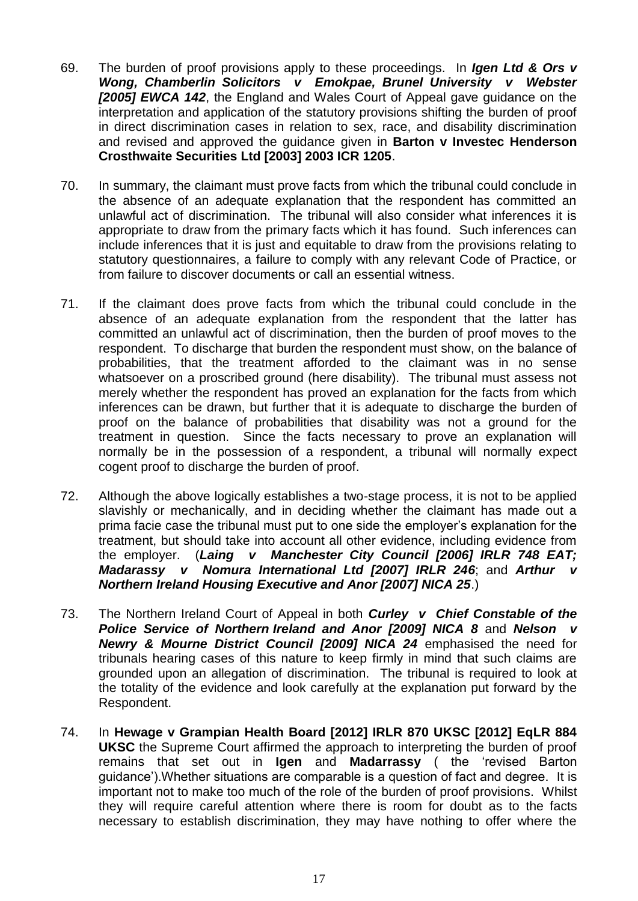- 69. The burden of proof provisions apply to these proceedings. In *Igen Ltd & Ors v Wong, Chamberlin Solicitors v Emokpae, Brunel University v Webster [2005] EWCA 142*, the England and Wales Court of Appeal gave guidance on the interpretation and application of the statutory provisions shifting the burden of proof in direct discrimination cases in relation to sex, race, and disability discrimination and revised and approved the guidance given in **Barton v Investec Henderson Crosthwaite Securities Ltd [2003] 2003 ICR 1205**.
- 70. In summary, the claimant must prove facts from which the tribunal could conclude in the absence of an adequate explanation that the respondent has committed an unlawful act of discrimination. The tribunal will also consider what inferences it is appropriate to draw from the primary facts which it has found. Such inferences can include inferences that it is just and equitable to draw from the provisions relating to statutory questionnaires, a failure to comply with any relevant Code of Practice, or from failure to discover documents or call an essential witness.
- 71. If the claimant does prove facts from which the tribunal could conclude in the absence of an adequate explanation from the respondent that the latter has committed an unlawful act of discrimination, then the burden of proof moves to the respondent. To discharge that burden the respondent must show, on the balance of probabilities, that the treatment afforded to the claimant was in no sense whatsoever on a proscribed ground (here disability). The tribunal must assess not merely whether the respondent has proved an explanation for the facts from which inferences can be drawn, but further that it is adequate to discharge the burden of proof on the balance of probabilities that disability was not a ground for the treatment in question. Since the facts necessary to prove an explanation will normally be in the possession of a respondent, a tribunal will normally expect cogent proof to discharge the burden of proof.
- 72. Although the above logically establishes a two-stage process, it is not to be applied slavishly or mechanically, and in deciding whether the claimant has made out a prima facie case the tribunal must put to one side the employer's explanation for the treatment, but should take into account all other evidence, including evidence from the employer. (*Laing v Manchester City Council [2006] IRLR 748 EAT; Madarassy v Nomura International Ltd [2007] IRLR 246*; and *Arthur v Northern Ireland Housing Executive and Anor [2007] NICA 25*.)
- 73. The Northern Ireland Court of Appeal in both *Curley v Chief Constable of the Police Service of Northern Ireland and Anor [2009] NICA 8* and *Nelson v Newry & Mourne District Council [2009] NICA 24* emphasised the need for tribunals hearing cases of this nature to keep firmly in mind that such claims are grounded upon an allegation of discrimination. The tribunal is required to look at the totality of the evidence and look carefully at the explanation put forward by the Respondent.
- 74. In **Hewage v Grampian Health Board [2012] IRLR 870 UKSC [2012] EqLR 884 UKSC** the Supreme Court affirmed the approach to interpreting the burden of proof remains that set out in **Igen** and **Madarrassy** ( the 'revised Barton guidance').Whether situations are comparable is a question of fact and degree. It is important not to make too much of the role of the burden of proof provisions. Whilst they will require careful attention where there is room for doubt as to the facts necessary to establish discrimination, they may have nothing to offer where the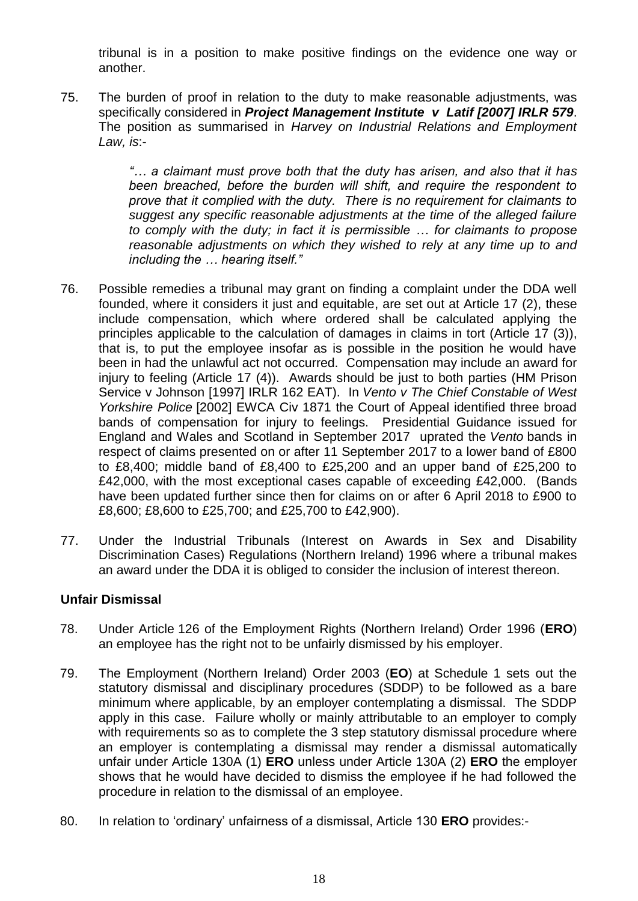tribunal is in a position to make positive findings on the evidence one way or another.

75. The burden of proof in relation to the duty to make reasonable adjustments, was specifically considered in *Project Management Institute v Latif [2007] IRLR 579*. The position as summarised in *Harvey on Industrial Relations and Employment Law, is*:-

> *"… a claimant must prove both that the duty has arisen, and also that it has been breached, before the burden will shift, and require the respondent to prove that it complied with the duty. There is no requirement for claimants to suggest any specific reasonable adjustments at the time of the alleged failure to comply with the duty; in fact it is permissible … for claimants to propose reasonable adjustments on which they wished to rely at any time up to and including the … hearing itself."*

- 76. Possible remedies a tribunal may grant on finding a complaint under the DDA well founded, where it considers it just and equitable, are set out at Article 17 (2), these include compensation, which where ordered shall be calculated applying the principles applicable to the calculation of damages in claims in tort (Article 17 (3)), that is, to put the employee insofar as is possible in the position he would have been in had the unlawful act not occurred. Compensation may include an award for injury to feeling (Article 17 (4)). Awards should be just to both parties (HM Prison Service v Johnson [1997] IRLR 162 EAT). In *Vento v The Chief Constable of West Yorkshire Police* [2002] EWCA Civ 1871 the Court of Appeal identified three broad bands of compensation for injury to feelings. Presidential Guidance issued for England and Wales and Scotland in September 2017 uprated the *Vento* bands in respect of claims presented on or after 11 September 2017 to a lower band of £800 to £8,400; middle band of £8,400 to £25,200 and an upper band of £25,200 to £42,000, with the most exceptional cases capable of exceeding £42,000. (Bands have been updated further since then for claims on or after 6 April 2018 to £900 to £8,600; £8,600 to £25,700; and £25,700 to £42,900).
- 77. Under the Industrial Tribunals (Interest on Awards in Sex and Disability Discrimination Cases) Regulations (Northern Ireland) 1996 where a tribunal makes an award under the DDA it is obliged to consider the inclusion of interest thereon.

## **Unfair Dismissal**

- 78. Under Article 126 of the Employment Rights (Northern Ireland) Order 1996 (**ERO**) an employee has the right not to be unfairly dismissed by his employer.
- 79. The Employment (Northern Ireland) Order 2003 (**EO**) at Schedule 1 sets out the statutory dismissal and disciplinary procedures (SDDP) to be followed as a bare minimum where applicable, by an employer contemplating a dismissal. The SDDP apply in this case. Failure wholly or mainly attributable to an employer to comply with requirements so as to complete the 3 step statutory dismissal procedure where an employer is contemplating a dismissal may render a dismissal automatically unfair under Article 130A (1) **ERO** unless under Article 130A (2) **ERO** the employer shows that he would have decided to dismiss the employee if he had followed the procedure in relation to the dismissal of an employee.
- 80. In relation to 'ordinary' unfairness of a dismissal, Article 130 **ERO** provides:-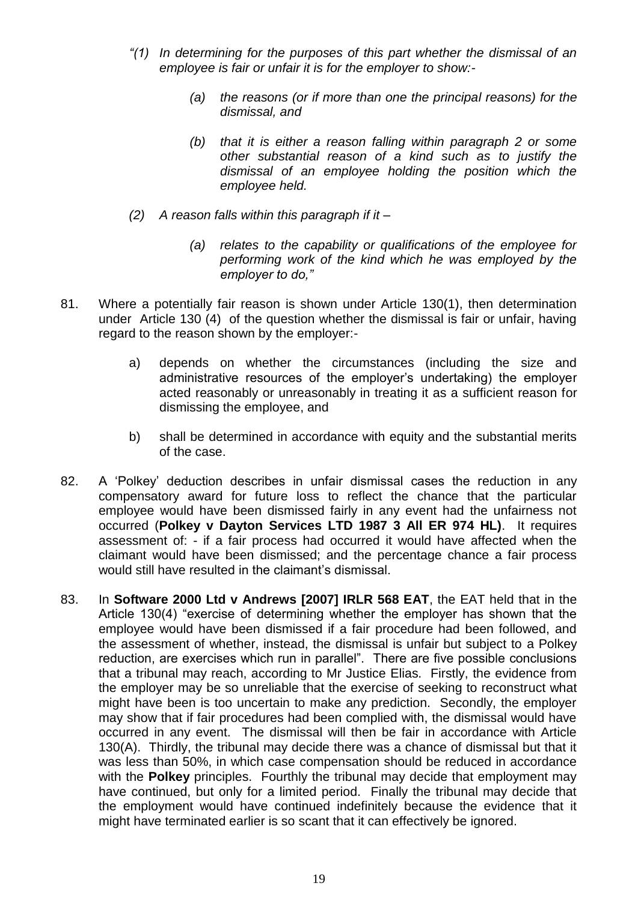- *"(1) In determining for the purposes of this part whether the dismissal of an employee is fair or unfair it is for the employer to show:-*
	- *(a) the reasons (or if more than one the principal reasons) for the dismissal, and*
	- *(b) that it is either a reason falling within paragraph 2 or some other substantial reason of a kind such as to justify the dismissal of an employee holding the position which the employee held.*
- *(2) A reason falls within this paragraph if it –*
	- *(a) relates to the capability or qualifications of the employee for performing work of the kind which he was employed by the employer to do,"*
- 81. Where a potentially fair reason is shown under Article 130(1), then determination under Article 130 (4) of the question whether the dismissal is fair or unfair, having regard to the reason shown by the employer:
	- a) depends on whether the circumstances (including the size and administrative resources of the employer's undertaking) the employer acted reasonably or unreasonably in treating it as a sufficient reason for dismissing the employee, and
	- b) shall be determined in accordance with equity and the substantial merits of the case.
- 82. A 'Polkey' deduction describes in unfair dismissal cases the reduction in any compensatory award for future loss to reflect the chance that the particular employee would have been dismissed fairly in any event had the unfairness not occurred (**Polkey v Dayton Services LTD 1987 3 All ER 974 HL)**. It requires assessment of: - if a fair process had occurred it would have affected when the claimant would have been dismissed; and the percentage chance a fair process would still have resulted in the claimant's dismissal.
- 83. In **Software 2000 Ltd v Andrews [2007] IRLR 568 EAT**, the EAT held that in the Article 130(4) "exercise of determining whether the employer has shown that the employee would have been dismissed if a fair procedure had been followed, and the assessment of whether, instead, the dismissal is unfair but subject to a Polkey reduction, are exercises which run in parallel". There are five possible conclusions that a tribunal may reach, according to Mr Justice Elias. Firstly, the evidence from the employer may be so unreliable that the exercise of seeking to reconstruct what might have been is too uncertain to make any prediction. Secondly, the employer may show that if fair procedures had been complied with, the dismissal would have occurred in any event. The dismissal will then be fair in accordance with Article 130(A). Thirdly, the tribunal may decide there was a chance of dismissal but that it was less than 50%, in which case compensation should be reduced in accordance with the **Polkey** principles. Fourthly the tribunal may decide that employment may have continued, but only for a limited period. Finally the tribunal may decide that the employment would have continued indefinitely because the evidence that it might have terminated earlier is so scant that it can effectively be ignored.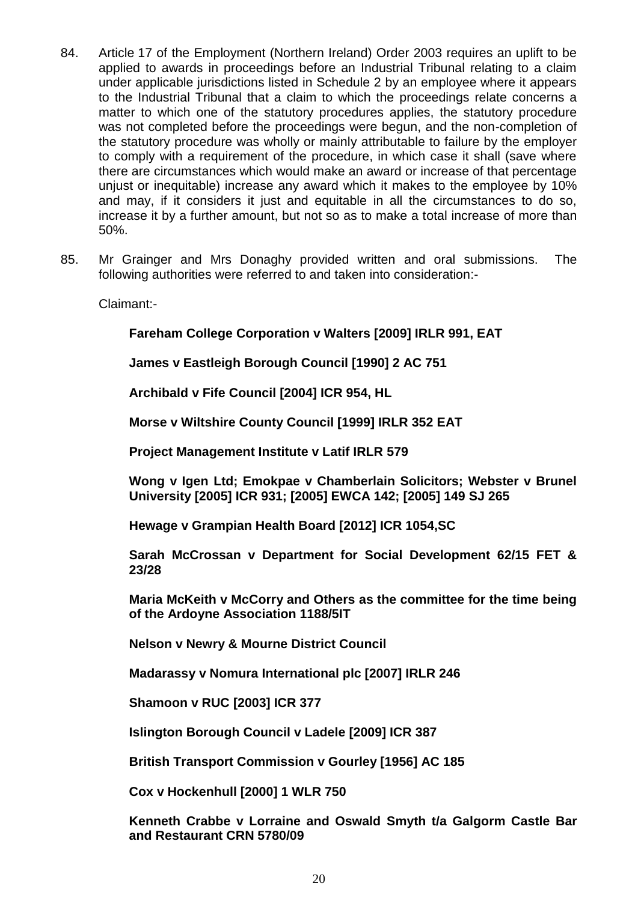- 84. Article 17 of the Employment (Northern Ireland) Order 2003 requires an uplift to be applied to awards in proceedings before an Industrial Tribunal relating to a claim under applicable jurisdictions listed in Schedule 2 by an employee where it appears to the Industrial Tribunal that a claim to which the proceedings relate concerns a matter to which one of the statutory procedures applies, the statutory procedure was not completed before the proceedings were begun, and the non-completion of the statutory procedure was wholly or mainly attributable to failure by the employer to comply with a requirement of the procedure, in which case it shall (save where there are circumstances which would make an award or increase of that percentage unjust or inequitable) increase any award which it makes to the employee by 10% and may, if it considers it just and equitable in all the circumstances to do so, increase it by a further amount, but not so as to make a total increase of more than 50%.
- 85. Mr Grainger and Mrs Donaghy provided written and oral submissions. The following authorities were referred to and taken into consideration:-

Claimant:-

**Fareham College Corporation v Walters [2009] IRLR 991, EAT**

**James v Eastleigh Borough Council [1990] 2 AC 751**

**Archibald v Fife Council [2004] ICR 954, HL**

**Morse v Wiltshire County Council [1999] IRLR 352 EAT**

**Project Management Institute v Latif IRLR 579**

**Wong v Igen Ltd; Emokpae v Chamberlain Solicitors; Webster v Brunel University [2005] ICR 931; [2005] EWCA 142; [2005] 149 SJ 265**

**Hewage v Grampian Health Board [2012] ICR 1054,SC**

**Sarah McCrossan v Department for Social Development 62/15 FET & 23/28** 

**Maria McKeith v McCorry and Others as the committee for the time being of the Ardoyne Association 1188/5IT**

**Nelson v Newry & Mourne District Council**

**Madarassy v Nomura International plc [2007] IRLR 246**

**Shamoon v RUC [2003] ICR 377**

**Islington Borough Council v Ladele [2009] ICR 387**

**British Transport Commission v Gourley [1956] AC 185**

**Cox v Hockenhull [2000] 1 WLR 750**

**Kenneth Crabbe v Lorraine and Oswald Smyth t/a Galgorm Castle Bar and Restaurant CRN 5780/09**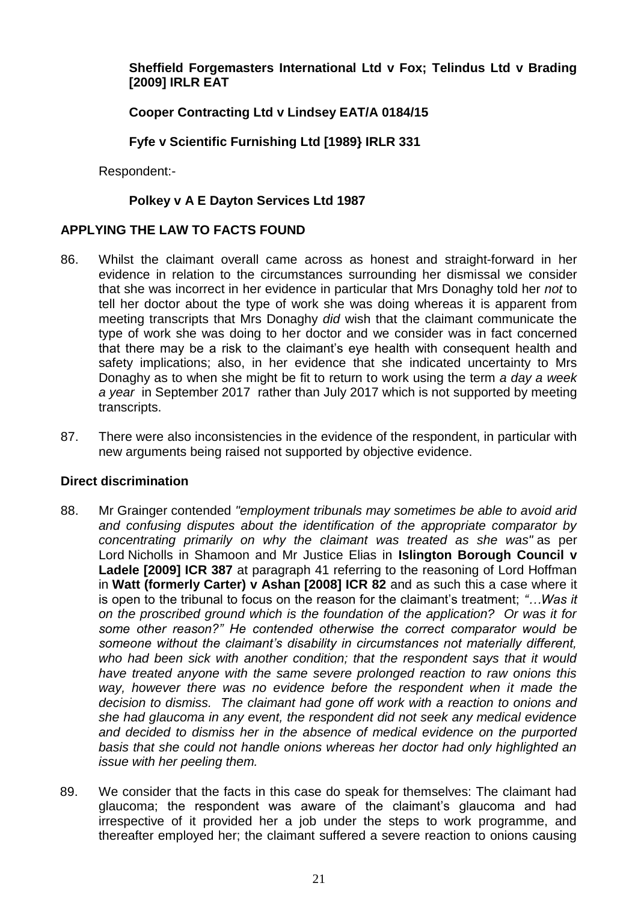## **Sheffield Forgemasters International Ltd v Fox; Telindus Ltd v Brading [2009] IRLR EAT**

## **Cooper Contracting Ltd v Lindsey EAT/A 0184/15**

**Fyfe v Scientific Furnishing Ltd [1989} IRLR 331**

Respondent:-

## **Polkey v A E Dayton Services Ltd 1987**

## **APPLYING THE LAW TO FACTS FOUND**

- 86. Whilst the claimant overall came across as honest and straight-forward in her evidence in relation to the circumstances surrounding her dismissal we consider that she was incorrect in her evidence in particular that Mrs Donaghy told her *not* to tell her doctor about the type of work she was doing whereas it is apparent from meeting transcripts that Mrs Donaghy *did* wish that the claimant communicate the type of work she was doing to her doctor and we consider was in fact concerned that there may be a risk to the claimant's eye health with consequent health and safety implications; also, in her evidence that she indicated uncertainty to Mrs Donaghy as to when she might be fit to return to work using the term *a day a week a year* in September 2017 rather than July 2017 which is not supported by meeting transcripts.
- 87. There were also inconsistencies in the evidence of the respondent, in particular with new arguments being raised not supported by objective evidence.

## **Direct discrimination**

- 88. Mr Grainger contended *"employment tribunals may sometimes be able to avoid arid and confusing disputes about the identification of the appropriate comparator by concentrating primarily on why the claimant was treated as she was"* as per Lord Nicholls in Shamoon and Mr Justice Elias in **Islington Borough Council v Ladele [2009] ICR 387** at paragraph 41 referring to the reasoning of Lord Hoffman in **Watt (formerly Carter) v Ashan [2008] ICR 82** and as such this a case where it is open to the tribunal to focus on the reason for the claimant's treatment; *"…Was it on the proscribed ground which is the foundation of the application? Or was it for some other reason?" He contended otherwise the correct comparator would be someone without the claimant's disability in circumstances not materially different, who had been sick with another condition; that the respondent says that it would have treated anyone with the same severe prolonged reaction to raw onions this way, however there was no evidence before the respondent when it made the decision to dismiss. The claimant had gone off work with a reaction to onions and she had glaucoma in any event, the respondent did not seek any medical evidence and decided to dismiss her in the absence of medical evidence on the purported basis that she could not handle onions whereas her doctor had only highlighted an issue with her peeling them.*
- 89. We consider that the facts in this case do speak for themselves: The claimant had glaucoma; the respondent was aware of the claimant's glaucoma and had irrespective of it provided her a job under the steps to work programme, and thereafter employed her; the claimant suffered a severe reaction to onions causing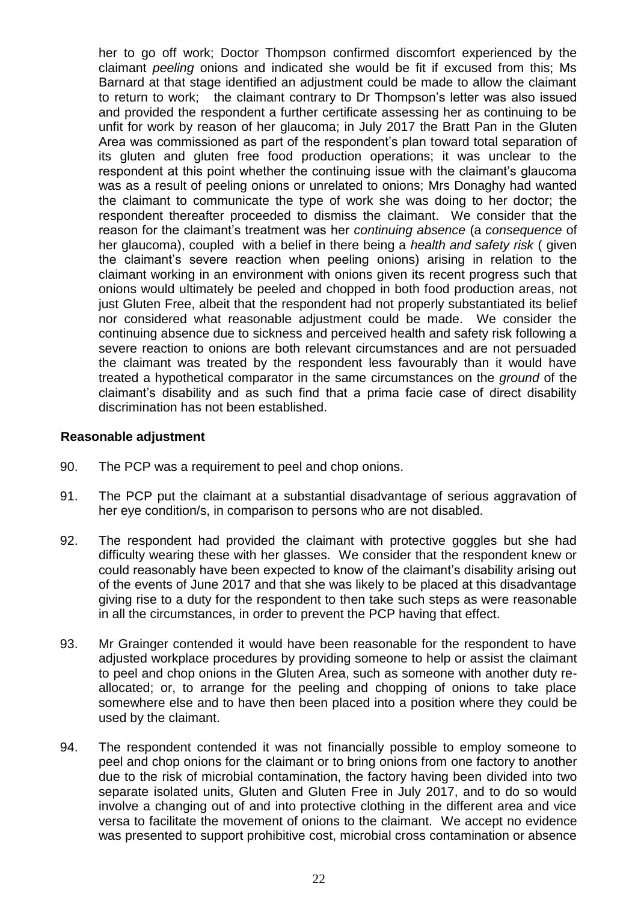her to go off work; Doctor Thompson confirmed discomfort experienced by the claimant *peeling* onions and indicated she would be fit if excused from this; Ms Barnard at that stage identified an adjustment could be made to allow the claimant to return to work; the claimant contrary to Dr Thompson's letter was also issued and provided the respondent a further certificate assessing her as continuing to be unfit for work by reason of her glaucoma; in July 2017 the Bratt Pan in the Gluten Area was commissioned as part of the respondent's plan toward total separation of its gluten and gluten free food production operations; it was unclear to the respondent at this point whether the continuing issue with the claimant's glaucoma was as a result of peeling onions or unrelated to onions; Mrs Donaghy had wanted the claimant to communicate the type of work she was doing to her doctor; the respondent thereafter proceeded to dismiss the claimant. We consider that the reason for the claimant's treatment was her *continuing absence* (a *consequence* of her glaucoma), coupled with a belief in there being a *health and safety risk* ( given the claimant's severe reaction when peeling onions) arising in relation to the claimant working in an environment with onions given its recent progress such that onions would ultimately be peeled and chopped in both food production areas, not just Gluten Free, albeit that the respondent had not properly substantiated its belief nor considered what reasonable adjustment could be made. We consider the continuing absence due to sickness and perceived health and safety risk following a severe reaction to onions are both relevant circumstances and are not persuaded the claimant was treated by the respondent less favourably than it would have treated a hypothetical comparator in the same circumstances on the *ground* of the claimant's disability and as such find that a prima facie case of direct disability discrimination has not been established.

#### **Reasonable adjustment**

- 90. The PCP was a requirement to peel and chop onions.
- 91. The PCP put the claimant at a substantial disadvantage of serious aggravation of her eye condition/s, in comparison to persons who are not disabled.
- 92. The respondent had provided the claimant with protective goggles but she had difficulty wearing these with her glasses. We consider that the respondent knew or could reasonably have been expected to know of the claimant's disability arising out of the events of June 2017 and that she was likely to be placed at this disadvantage giving rise to a duty for the respondent to then take such steps as were reasonable in all the circumstances, in order to prevent the PCP having that effect.
- 93. Mr Grainger contended it would have been reasonable for the respondent to have adjusted workplace procedures by providing someone to help or assist the claimant to peel and chop onions in the Gluten Area, such as someone with another duty reallocated; or, to arrange for the peeling and chopping of onions to take place somewhere else and to have then been placed into a position where they could be used by the claimant.
- 94. The respondent contended it was not financially possible to employ someone to peel and chop onions for the claimant or to bring onions from one factory to another due to the risk of microbial contamination, the factory having been divided into two separate isolated units, Gluten and Gluten Free in July 2017, and to do so would involve a changing out of and into protective clothing in the different area and vice versa to facilitate the movement of onions to the claimant. We accept no evidence was presented to support prohibitive cost, microbial cross contamination or absence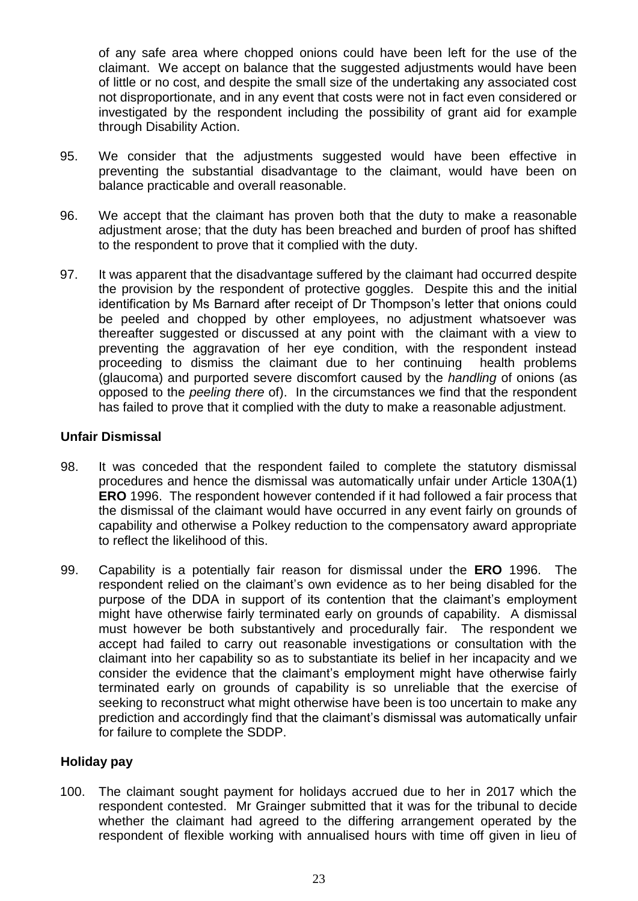of any safe area where chopped onions could have been left for the use of the claimant. We accept on balance that the suggested adjustments would have been of little or no cost, and despite the small size of the undertaking any associated cost not disproportionate, and in any event that costs were not in fact even considered or investigated by the respondent including the possibility of grant aid for example through Disability Action.

- 95. We consider that the adjustments suggested would have been effective in preventing the substantial disadvantage to the claimant, would have been on balance practicable and overall reasonable.
- 96. We accept that the claimant has proven both that the duty to make a reasonable adjustment arose; that the duty has been breached and burden of proof has shifted to the respondent to prove that it complied with the duty.
- 97. It was apparent that the disadvantage suffered by the claimant had occurred despite the provision by the respondent of protective goggles. Despite this and the initial identification by Ms Barnard after receipt of Dr Thompson's letter that onions could be peeled and chopped by other employees, no adjustment whatsoever was thereafter suggested or discussed at any point with the claimant with a view to preventing the aggravation of her eye condition, with the respondent instead proceeding to dismiss the claimant due to her continuing health problems (glaucoma) and purported severe discomfort caused by the *handling* of onions (as opposed to the *peeling there* of). In the circumstances we find that the respondent has failed to prove that it complied with the duty to make a reasonable adjustment.

## **Unfair Dismissal**

- 98. It was conceded that the respondent failed to complete the statutory dismissal procedures and hence the dismissal was automatically unfair under Article 130A(1) **ERO** 1996. The respondent however contended if it had followed a fair process that the dismissal of the claimant would have occurred in any event fairly on grounds of capability and otherwise a Polkey reduction to the compensatory award appropriate to reflect the likelihood of this.
- 99. Capability is a potentially fair reason for dismissal under the **ERO** 1996. The respondent relied on the claimant's own evidence as to her being disabled for the purpose of the DDA in support of its contention that the claimant's employment might have otherwise fairly terminated early on grounds of capability. A dismissal must however be both substantively and procedurally fair. The respondent we accept had failed to carry out reasonable investigations or consultation with the claimant into her capability so as to substantiate its belief in her incapacity and we consider the evidence that the claimant's employment might have otherwise fairly terminated early on grounds of capability is so unreliable that the exercise of seeking to reconstruct what might otherwise have been is too uncertain to make any prediction and accordingly find that the claimant's dismissal was automatically unfair for failure to complete the SDDP.

## **Holiday pay**

100. The claimant sought payment for holidays accrued due to her in 2017 which the respondent contested. Mr Grainger submitted that it was for the tribunal to decide whether the claimant had agreed to the differing arrangement operated by the respondent of flexible working with annualised hours with time off given in lieu of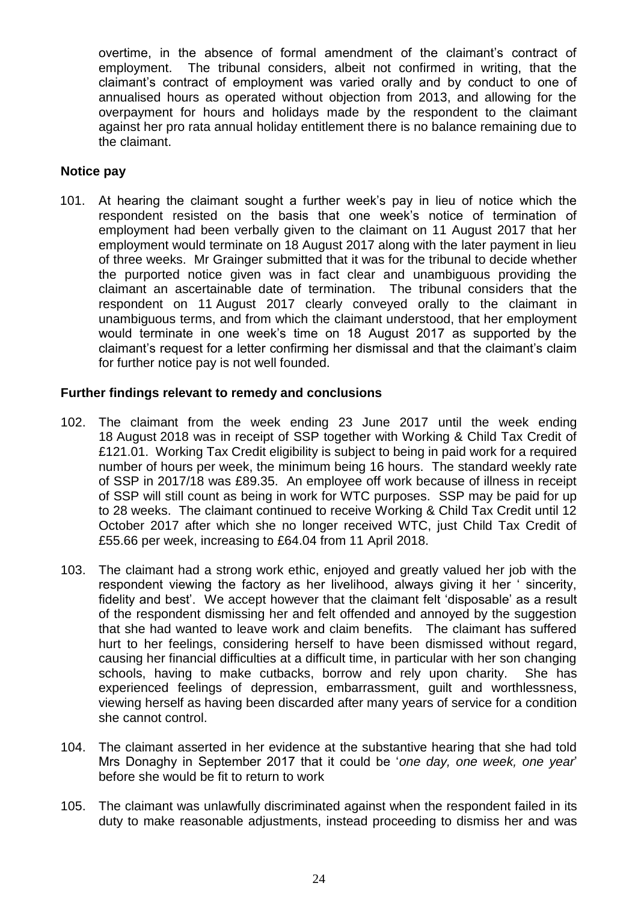overtime, in the absence of formal amendment of the claimant's contract of employment. The tribunal considers, albeit not confirmed in writing, that the claimant's contract of employment was varied orally and by conduct to one of annualised hours as operated without objection from 2013, and allowing for the overpayment for hours and holidays made by the respondent to the claimant against her pro rata annual holiday entitlement there is no balance remaining due to the claimant.

#### **Notice pay**

101. At hearing the claimant sought a further week's pay in lieu of notice which the respondent resisted on the basis that one week's notice of termination of employment had been verbally given to the claimant on 11 August 2017 that her employment would terminate on 18 August 2017 along with the later payment in lieu of three weeks. Mr Grainger submitted that it was for the tribunal to decide whether the purported notice given was in fact clear and unambiguous providing the claimant an ascertainable date of termination. The tribunal considers that the respondent on 11 August 2017 clearly conveyed orally to the claimant in unambiguous terms, and from which the claimant understood, that her employment would terminate in one week's time on 18 August 2017 as supported by the claimant's request for a letter confirming her dismissal and that the claimant's claim for further notice pay is not well founded.

## **Further findings relevant to remedy and conclusions**

- 102. The claimant from the week ending 23 June 2017 until the week ending 18 August 2018 was in receipt of SSP together with Working & Child Tax Credit of £121.01. Working Tax Credit eligibility is subject to being in paid work for a required number of hours per week, the minimum being 16 hours. The standard weekly rate of SSP in 2017/18 was £89.35. An employee off work because of illness in receipt of SSP will still count as being in work for WTC purposes. SSP may be paid for up to 28 weeks. The claimant continued to receive Working & Child Tax Credit until 12 October 2017 after which she no longer received WTC, just Child Tax Credit of £55.66 per week, increasing to £64.04 from 11 April 2018.
- 103. The claimant had a strong work ethic, enjoyed and greatly valued her job with the respondent viewing the factory as her livelihood, always giving it her ' sincerity, fidelity and best'. We accept however that the claimant felt 'disposable' as a result of the respondent dismissing her and felt offended and annoyed by the suggestion that she had wanted to leave work and claim benefits. The claimant has suffered hurt to her feelings, considering herself to have been dismissed without regard, causing her financial difficulties at a difficult time, in particular with her son changing schools, having to make cutbacks, borrow and rely upon charity. She has experienced feelings of depression, embarrassment, guilt and worthlessness, viewing herself as having been discarded after many years of service for a condition she cannot control.
- 104. The claimant asserted in her evidence at the substantive hearing that she had told Mrs Donaghy in September 2017 that it could be '*one day, one week, one year*' before she would be fit to return to work
- 105. The claimant was unlawfully discriminated against when the respondent failed in its duty to make reasonable adjustments, instead proceeding to dismiss her and was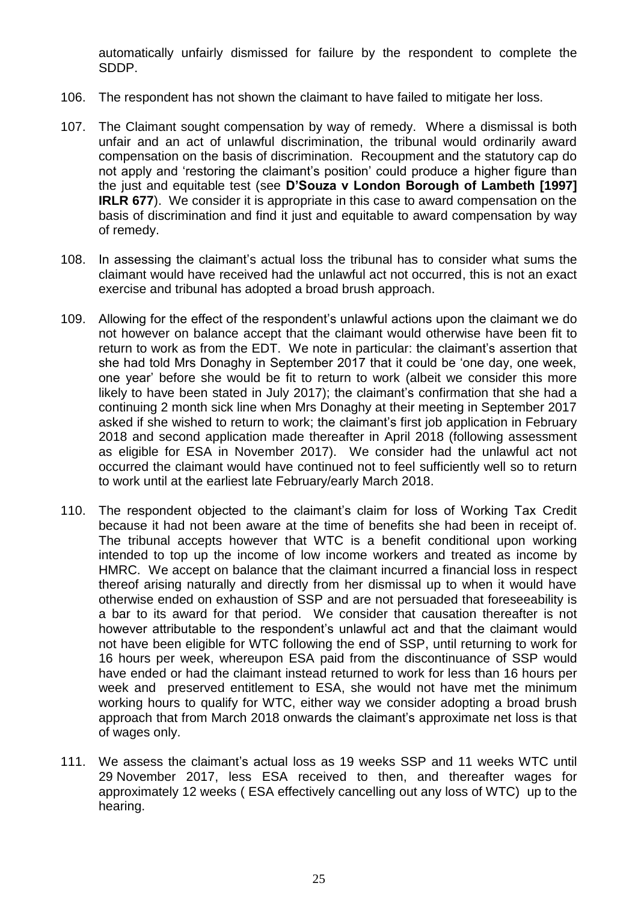automatically unfairly dismissed for failure by the respondent to complete the SDDP.

- 106. The respondent has not shown the claimant to have failed to mitigate her loss.
- 107. The Claimant sought compensation by way of remedy. Where a dismissal is both unfair and an act of unlawful discrimination, the tribunal would ordinarily award compensation on the basis of discrimination. Recoupment and the statutory cap do not apply and 'restoring the claimant's position' could produce a higher figure than the just and equitable test (see **D'Souza v London Borough of Lambeth [1997] IRLR 677**). We consider it is appropriate in this case to award compensation on the basis of discrimination and find it just and equitable to award compensation by way of remedy.
- 108. In assessing the claimant's actual loss the tribunal has to consider what sums the claimant would have received had the unlawful act not occurred, this is not an exact exercise and tribunal has adopted a broad brush approach.
- 109. Allowing for the effect of the respondent's unlawful actions upon the claimant we do not however on balance accept that the claimant would otherwise have been fit to return to work as from the EDT. We note in particular: the claimant's assertion that she had told Mrs Donaghy in September 2017 that it could be 'one day, one week, one year' before she would be fit to return to work (albeit we consider this more likely to have been stated in July 2017); the claimant's confirmation that she had a continuing 2 month sick line when Mrs Donaghy at their meeting in September 2017 asked if she wished to return to work; the claimant's first job application in February 2018 and second application made thereafter in April 2018 (following assessment as eligible for ESA in November 2017). We consider had the unlawful act not occurred the claimant would have continued not to feel sufficiently well so to return to work until at the earliest late February/early March 2018.
- 110. The respondent objected to the claimant's claim for loss of Working Tax Credit because it had not been aware at the time of benefits she had been in receipt of. The tribunal accepts however that WTC is a benefit conditional upon working intended to top up the income of low income workers and treated as income by HMRC. We accept on balance that the claimant incurred a financial loss in respect thereof arising naturally and directly from her dismissal up to when it would have otherwise ended on exhaustion of SSP and are not persuaded that foreseeability is a bar to its award for that period. We consider that causation thereafter is not however attributable to the respondent's unlawful act and that the claimant would not have been eligible for WTC following the end of SSP, until returning to work for 16 hours per week, whereupon ESA paid from the discontinuance of SSP would have ended or had the claimant instead returned to work for less than 16 hours per week and preserved entitlement to ESA, she would not have met the minimum working hours to qualify for WTC, either way we consider adopting a broad brush approach that from March 2018 onwards the claimant's approximate net loss is that of wages only.
- 111. We assess the claimant's actual loss as 19 weeks SSP and 11 weeks WTC until 29 November 2017, less ESA received to then, and thereafter wages for approximately 12 weeks ( ESA effectively cancelling out any loss of WTC) up to the hearing.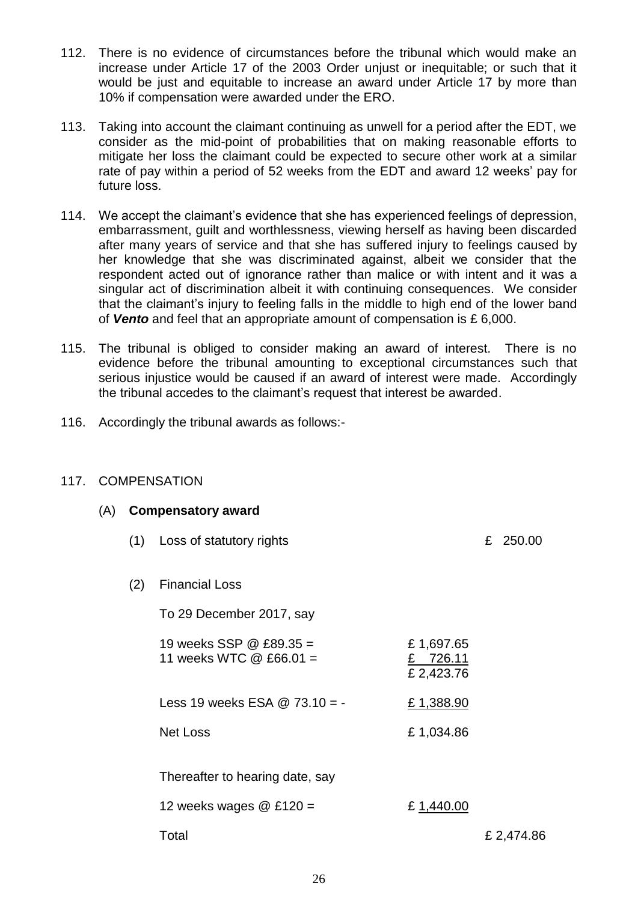- 112. There is no evidence of circumstances before the tribunal which would make an increase under Article 17 of the 2003 Order unjust or inequitable; or such that it would be just and equitable to increase an award under Article 17 by more than 10% if compensation were awarded under the ERO.
- 113. Taking into account the claimant continuing as unwell for a period after the EDT, we consider as the mid-point of probabilities that on making reasonable efforts to mitigate her loss the claimant could be expected to secure other work at a similar rate of pay within a period of 52 weeks from the EDT and award 12 weeks' pay for future loss.
- 114. We accept the claimant's evidence that she has experienced feelings of depression, embarrassment, guilt and worthlessness, viewing herself as having been discarded after many years of service and that she has suffered injury to feelings caused by her knowledge that she was discriminated against, albeit we consider that the respondent acted out of ignorance rather than malice or with intent and it was a singular act of discrimination albeit it with continuing consequences. We consider that the claimant's injury to feeling falls in the middle to high end of the lower band of *Vento* and feel that an appropriate amount of compensation is £ 6,000.
- 115. The tribunal is obliged to consider making an award of interest. There is no evidence before the tribunal amounting to exceptional circumstances such that serious injustice would be caused if an award of interest were made. Accordingly the tribunal accedes to the claimant's request that interest be awarded.
- 116. Accordingly the tribunal awards as follows:-

## 117. COMPENSATION

| (A) | <b>Compensatory award</b> |                                                    |                                     |            |
|-----|---------------------------|----------------------------------------------------|-------------------------------------|------------|
|     | (1)                       | Loss of statutory rights                           |                                     | £ 250.00   |
|     | (2)                       | <b>Financial Loss</b>                              |                                     |            |
|     |                           | To 29 December 2017, say                           |                                     |            |
|     |                           | 19 weeks SSP @ £89.35 =<br>11 weeks WTC @ £66.01 = | £1,697.65<br>£ 726.11<br>£ 2,423.76 |            |
|     |                           | Less 19 weeks ESA $@$ 73.10 = -                    | £1,388.90                           |            |
|     |                           | <b>Net Loss</b>                                    | £1,034.86                           |            |
|     |                           | Thereafter to hearing date, say                    |                                     |            |
|     |                           | 12 weeks wages $@$ £120 =                          | £1,440.00                           |            |
|     |                           | Total                                              |                                     | £ 2,474.86 |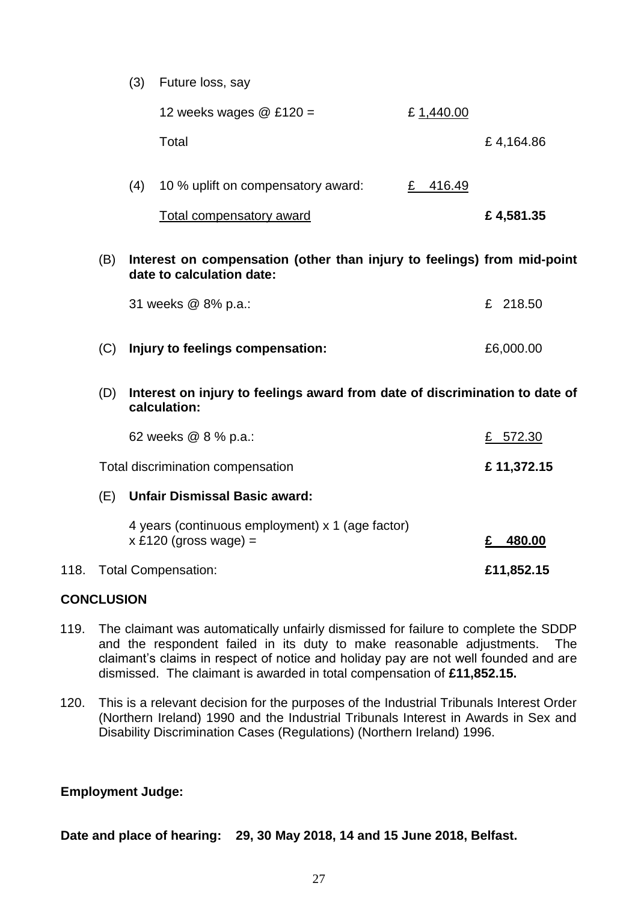(3) Future loss, say

|     | <b>Total compensatory award</b>    |           | £4,581.35 |
|-----|------------------------------------|-----------|-----------|
| (4) | 10 % uplift on compensatory award: | 416.49    |           |
|     | Total                              |           | £4,164.86 |
|     | 12 weeks wages $@$ £120 =          | £1,440.00 |           |

(B) **Interest on compensation (other than injury to feelings) from mid-point date to calculation date:**

|     | 31 weeks @ 8% p.a.:              |           |
|-----|----------------------------------|-----------|
| (C) | Injury to feelings compensation: | £6,000.00 |

(D) **Interest on injury to feelings award from date of discrimination to date of calculation:**

|  | 62 weeks @ 8 % p.a.:<br>Total discrimination compensation<br><b>Unfair Dismissal Basic award:</b><br>(E) |                                                                                    | 572.30     |  |
|--|----------------------------------------------------------------------------------------------------------|------------------------------------------------------------------------------------|------------|--|
|  |                                                                                                          |                                                                                    | £11,372.15 |  |
|  |                                                                                                          |                                                                                    |            |  |
|  |                                                                                                          | 4 years (continuous employment) x 1 (age factor)<br>$x \pounds 120$ (gross wage) = | 480.00     |  |
|  |                                                                                                          | 118. Total Compensation:                                                           | £11,852.15 |  |

## **CONCLUSION**

- 119. The claimant was automatically unfairly dismissed for failure to complete the SDDP and the respondent failed in its duty to make reasonable adjustments. The claimant's claims in respect of notice and holiday pay are not well founded and are dismissed. The claimant is awarded in total compensation of **£11,852.15.**
- 120. This is a relevant decision for the purposes of the Industrial Tribunals Interest Order (Northern Ireland) 1990 and the Industrial Tribunals Interest in Awards in Sex and Disability Discrimination Cases (Regulations) (Northern Ireland) 1996.

## **Employment Judge:**

**Date and place of hearing: 29, 30 May 2018, 14 and 15 June 2018, Belfast.**